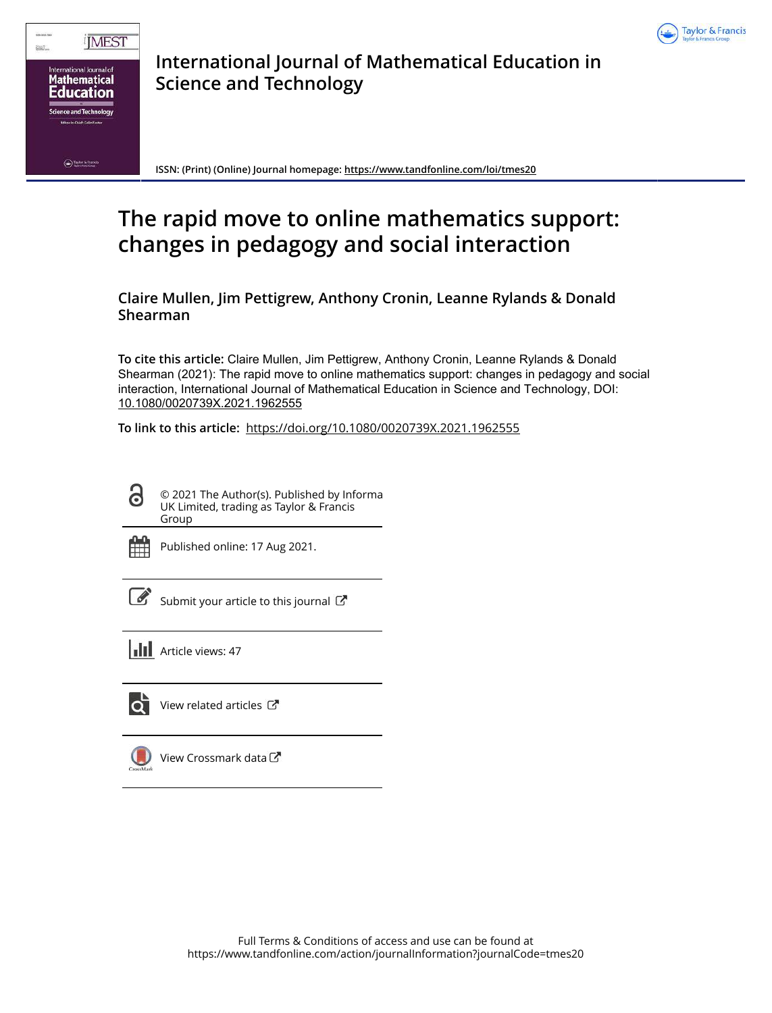



**International Journal of Mathematical Education in Science and Technology**

**ISSN: (Print) (Online) Journal homepage:<https://www.tandfonline.com/loi/tmes20>**

# **The rapid move to online mathematics support: changes in pedagogy and social interaction**

**Claire Mullen, Jim Pettigrew, Anthony Cronin, Leanne Rylands & Donald Shearman**

**To cite this article:** Claire Mullen, Jim Pettigrew, Anthony Cronin, Leanne Rylands & Donald Shearman (2021): The rapid move to online mathematics support: changes in pedagogy and social interaction, International Journal of Mathematical Education in Science and Technology, DOI: [10.1080/0020739X.2021.1962555](https://www.tandfonline.com/action/showCitFormats?doi=10.1080/0020739X.2021.1962555)

**To link to this article:** <https://doi.org/10.1080/0020739X.2021.1962555>

© 2021 The Author(s). Published by Informa UK Limited, trading as Taylor & Francis Group



ര

Published online: 17 Aug 2021.

 $\overline{\mathscr{L}}$  [Submit your article to this journal](https://www.tandfonline.com/action/authorSubmission?journalCode=tmes20&show=instructions)  $\mathbb{Z}$ 

**Article views: 47** 



[View related articles](https://www.tandfonline.com/doi/mlt/10.1080/0020739X.2021.1962555) C



[View Crossmark data](http://crossmark.crossref.org/dialog/?doi=10.1080/0020739X.2021.1962555&domain=pdf&date_stamp=2021-08-17)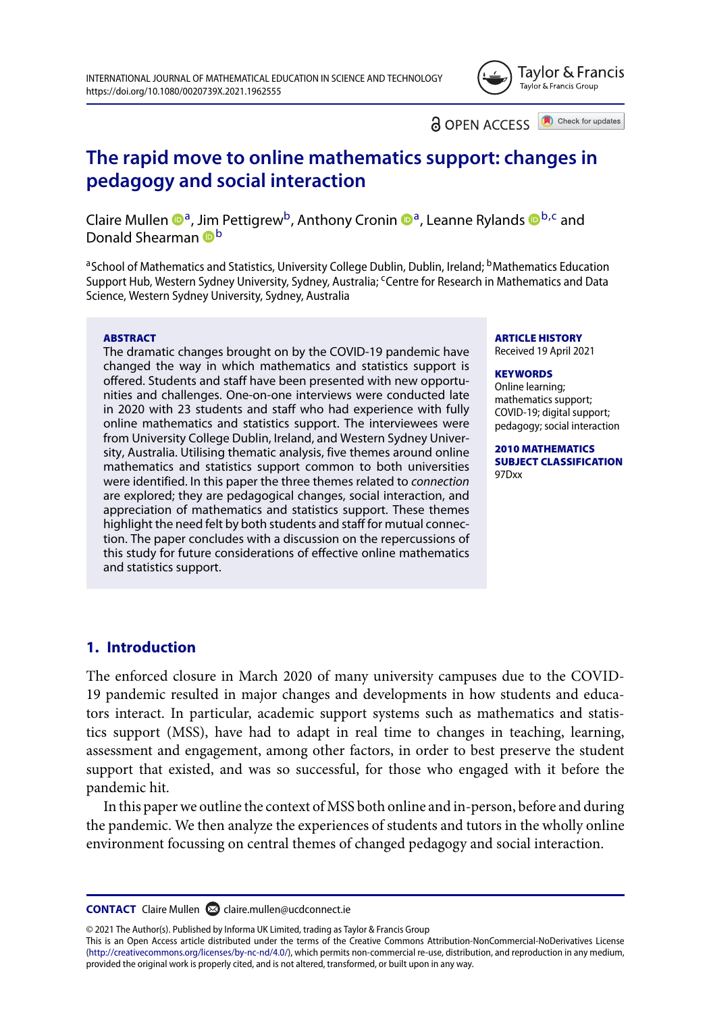

a OPEN ACCESS

Check for updates

# **The rapid move to online mathematics support: changes in pedagogy and social interaction**

Claire Mullen  $\mathbf{Q}^a$ , Jim Pettigrew<sup>b</sup>, Anthony Cronin  $\mathbf{Q}^a$ , Leanne Rylands  $\mathbf{Q}^{b,c}$  $\mathbf{Q}^{b,c}$  $\mathbf{Q}^{b,c}$  $\mathbf{Q}^{b,c}$  and Donald Shearman **D**<sup>[b](#page-1-1)</sup>

<span id="page-1-0"></span>a School of Mathematics and Statistics, University College Dublin, Dublin, Ireland; <sup>b</sup>Mathematics Education Support Hub, Western Sydney University, Sydney, Australia; <sup>c</sup>Centre for Research in Mathematics and Data Science, Western Sydney University, Sydney, Australia

### **ABSTRACT**

The dramatic changes brought on by the COVID-19 pandemic have changed the way in which mathematics and statistics support is offered. Students and staff have been presented with new opportunities and challenges. One-on-one interviews were conducted late in 2020 with 23 students and staff who had experience with fully online mathematics and statistics support. The interviewees were from University College Dublin, Ireland, and Western Sydney University, Australia. Utilising thematic analysis, five themes around online mathematics and statistics support common to both universities were identified. In this paper the three themes related to *connection* are explored; they are pedagogical changes, social interaction, and appreciation of mathematics and statistics support. These themes highlight the need felt by both students and staff for mutual connection. The paper concludes with a discussion on the repercussions of this study for future considerations of effective online mathematics and statistics support.

#### <span id="page-1-2"></span><span id="page-1-1"></span>**ARTICLE HISTORY** Received 19 April 2021

### **KEYWORDS**

Online learning; mathematics support; COVID-19; digital support; pedagogy; social interaction

**2010 MATHEMATICS SUBJECT CLASSIFICATION** 07D<sub>vv</sub>

# **1. Introduction**

The enforced closure in March 2020 of many university campuses due to the COVID-19 pandemic resulted in major changes and developments in how students and educators interact. In particular, academic support systems such as mathematics and statistics support (MSS), have had to adapt in real time to changes in teaching, learning, assessment and engagement, among other factors, in order to best preserve the student support that existed, and was so successful, for those who engaged with it before the pandemic hit.

In this paper we outline the context of MSS both online and in-person, before and during the pandemic. We then analyze the experiences of students and tutors in the wholly online environment focussing on central themes of changed pedagogy and social interaction.

© 2021 The Author(s). Published by Informa UK Limited, trading as Taylor & Francis Group

This is an Open Access article distributed under the terms of the Creative Commons Attribution-NonCommercial-NoDerivatives License [\(http://creativecommons.org/licenses/by-nc-nd/4.0/\)](http://creativecommons.org/licenses/by-nc-nd/4.0/), which permits non-commercial re-use, distribution, and reproduction in any medium, provided the original work is properly cited, and is not altered, transformed, or built upon in any way.

**CONTACT** Claire Mullen **∞** [claire.mullen@ucdconnect.ie](mailto:claire.mullen@ucdconnect.ie)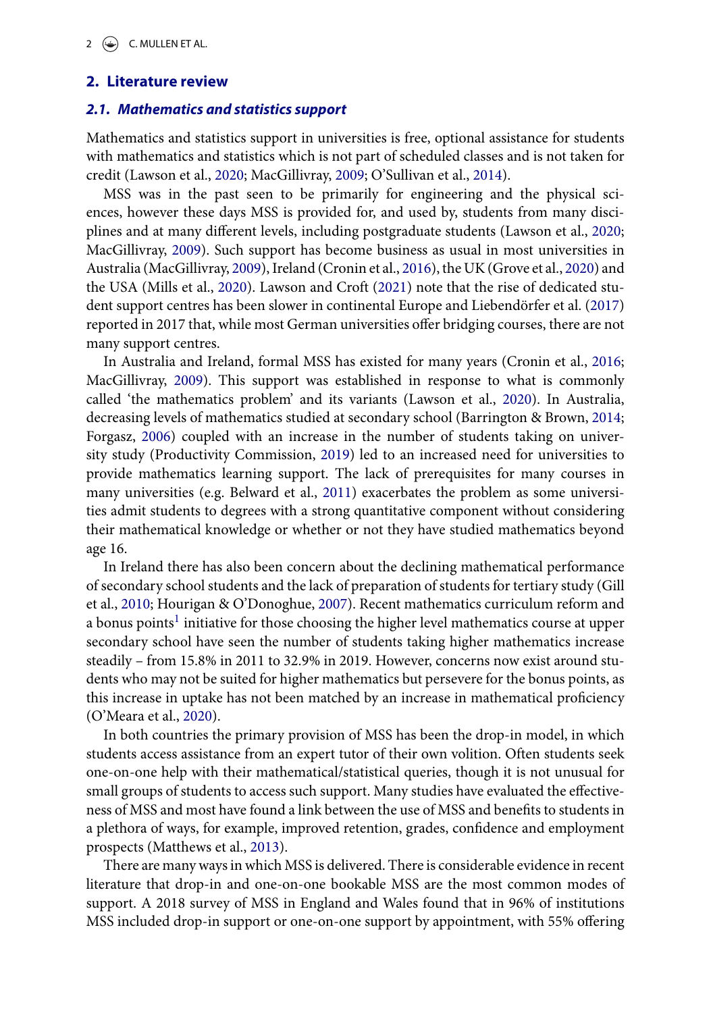# **2. Literature review**

### *2.1. Mathematics and statistics support*

Mathematics and statistics support in universities is free, optional assistance for students with mathematics and statistics which is not part of scheduled classes and is not taken for credit (Lawson et al., [2020;](#page-25-0) MacGillivray, [2009;](#page-25-1) O'Sullivan et al., [2014\)](#page-26-0).

<span id="page-2-15"></span><span id="page-2-11"></span><span id="page-2-9"></span><span id="page-2-6"></span><span id="page-2-3"></span>MSS was in the past seen to be primarily for engineering and the physical sciences, however these days MSS is provided for, and used by, students from many disciplines and at many different levels, including postgraduate students (Lawson et al., [2020;](#page-25-0) MacGillivray, [2009\)](#page-25-1). Such support has become business as usual in most universities in Australia (MacGillivray, [2009\)](#page-25-1), Ireland (Cronin et al., [2016\)](#page-23-0), the UK (Grove et al., [2020\)](#page-24-0) and the USA (Mills et al., [2020\)](#page-25-2). Lawson and Croft [\(2021\)](#page-25-3) note that the rise of dedicated student support centres has been slower in continental Europe and Liebendörfer et al. [\(2017\)](#page-25-4) reported in 2017 that, while most German universities offer bridging courses, there are not many support centres.

<span id="page-2-16"></span><span id="page-2-13"></span><span id="page-2-10"></span><span id="page-2-8"></span><span id="page-2-4"></span><span id="page-2-1"></span>In Australia and Ireland, formal MSS has existed for many years (Cronin et al., [2016;](#page-23-0) MacGillivray, [2009\)](#page-25-1). This support was established in response to what is commonly called 'the mathematics problem' and its variants (Lawson et al., [2020\)](#page-25-0). In Australia, decreasing levels of mathematics studied at secondary school (Barrington & Brown, [2014;](#page-22-0) Forgasz, [2006\)](#page-24-1) coupled with an increase in the number of students taking on university study (Productivity Commission, [2019\)](#page-26-1) led to an increased need for universities to provide mathematics learning support. The lack of prerequisites for many courses in many universities (e.g. Belward et al., [2011\)](#page-22-1) exacerbates the problem as some universities admit students to degrees with a strong quantitative component without considering their mathematical knowledge or whether or not they have studied mathematics beyond age 16.

<span id="page-2-7"></span><span id="page-2-5"></span><span id="page-2-2"></span><span id="page-2-0"></span>In Ireland there has also been concern about the declining mathematical performance of secondary school students and the lack of preparation of students for tertiary study (Gill et al., [2010;](#page-24-2) Hourigan & O'Donoghue, [2007\)](#page-24-3). Recent mathematics curriculum reform and a bonus points<sup>[1](#page-22-2)</sup> initiative for those choosing the higher level mathematics course at upper secondary school have seen the number of students taking higher mathematics increase steadily – from 15.8% in 2011 to 32.9% in 2019. However, concerns now exist around students who may not be suited for higher mathematics but persevere for the bonus points, as this increase in uptake has not been matched by an increase in mathematical proficiency (O'Meara et al., [2020\)](#page-25-5).

<span id="page-2-14"></span>In both countries the primary provision of MSS has been the drop-in model, in which students access assistance from an expert tutor of their own volition. Often students seek one-on-one help with their mathematical/statistical queries, though it is not unusual for small groups of students to access such support. Many studies have evaluated the effectiveness of MSS and most have found a link between the use of MSS and benefits to students in a plethora of ways, for example, improved retention, grades, confidence and employment prospects (Matthews et al., [2013\)](#page-25-6).

<span id="page-2-12"></span>There are many ways in which MSS is delivered. There is considerable evidence in recent literature that drop-in and one-on-one bookable MSS are the most common modes of support. A 2018 survey of MSS in England and Wales found that in 96% of institutions MSS included drop-in support or one-on-one support by appointment, with 55% offering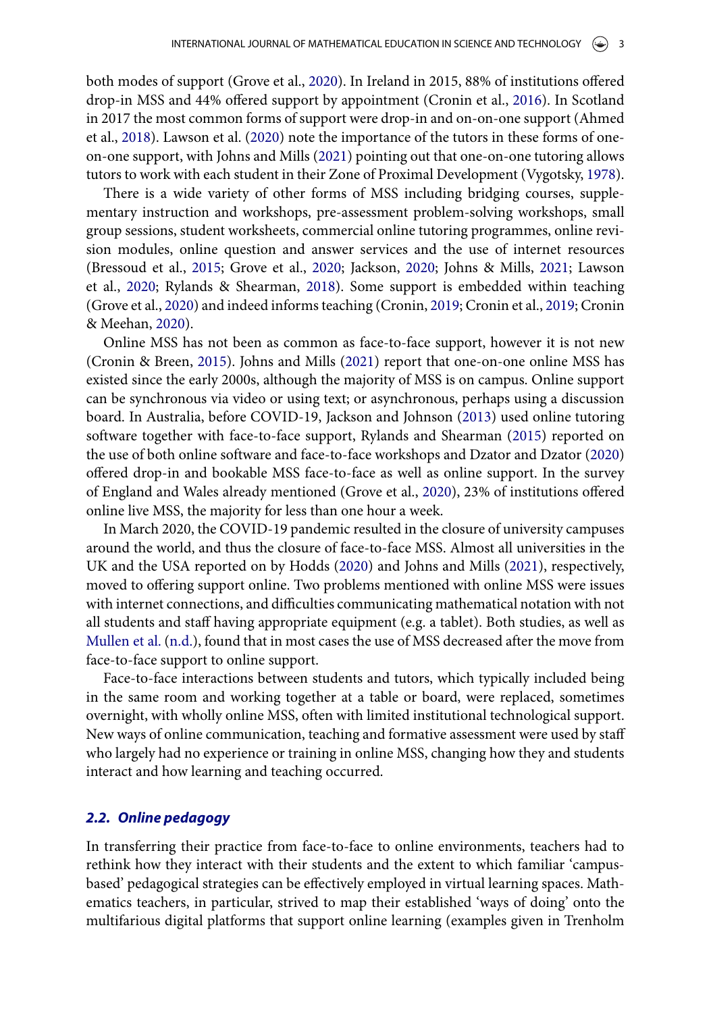<span id="page-3-0"></span>both modes of support (Grove et al., [2020\)](#page-24-0). In Ireland in 2015, 88% of institutions offered drop-in MSS and 44% offered support by appointment (Cronin et al., [2016\)](#page-23-0). In Scotland in 2017 the most common forms of support were drop-in and on-on-one support (Ahmed et al., [2018\)](#page-22-3). Lawson et al. [\(2020\)](#page-25-0) note the importance of the tutors in these forms of oneon-one support, with Johns and Mills [\(2021\)](#page-24-4) pointing out that one-on-one tutoring allows tutors to work with each student in their Zone of Proximal Development (Vygotsky, [1978\)](#page-27-0).

<span id="page-3-14"></span><span id="page-3-10"></span><span id="page-3-8"></span><span id="page-3-1"></span>There is a wide variety of other forms of MSS including bridging courses, supplementary instruction and workshops, pre-assessment problem-solving workshops, small group sessions, student worksheets, commercial online tutoring programmes, online revision modules, online question and answer services and the use of internet resources (Bressoud et al., [2015;](#page-23-1) Grove et al., [2020;](#page-24-0) Jackson, [2020;](#page-24-5) Johns & Mills, [2021;](#page-24-4) Lawson et al., [2020;](#page-25-0) Rylands & Shearman, [2018\)](#page-26-2). Some support is embedded within teaching (Grove et al., [2020\)](#page-24-0) and indeed informs teaching (Cronin, [2019;](#page-23-2) Cronin et al., [2019;](#page-23-3) Cronin & Meehan, [2020\)](#page-23-4).

<span id="page-3-13"></span><span id="page-3-12"></span><span id="page-3-9"></span><span id="page-3-5"></span><span id="page-3-4"></span><span id="page-3-3"></span><span id="page-3-2"></span>Online MSS has not been as common as face-to-face support, however it is not new (Cronin & Breen, [2015\)](#page-23-5). Johns and Mills [\(2021\)](#page-24-4) report that one-on-one online MSS has existed since the early 2000s, although the majority of MSS is on campus. Online support can be synchronous via video or using text; or asynchronous, perhaps using a discussion board. In Australia, before COVID-19, Jackson and Johnson [\(2013\)](#page-24-6) used online tutoring software together with face-to-face support, Rylands and Shearman [\(2015\)](#page-26-3) reported on the use of both online software and face-to-face workshops and Dzator and Dzator [\(2020\)](#page-23-6) offered drop-in and bookable MSS face-to-face as well as online support. In the survey of England and Wales already mentioned (Grove et al., [2020\)](#page-24-0), 23% of institutions offered online live MSS, the majority for less than one hour a week.

<span id="page-3-7"></span><span id="page-3-6"></span>In March 2020, the COVID-19 pandemic resulted in the closure of university campuses around the world, and thus the closure of face-to-face MSS. Almost all universities in the UK and the USA reported on by Hodds [\(2020\)](#page-24-7) and Johns and Mills [\(2021\)](#page-24-4), respectively, moved to offering support online. Two problems mentioned with online MSS were issues with internet connections, and difficulties communicating mathematical notation with not all students and staff having appropriate equipment (e.g. a tablet). Both studies, as well as [Mullen et al.](#page-25-7) [\(n.d.\)](#page-25-7), found that in most cases the use of MSS decreased after the move from face-to-face support to online support.

<span id="page-3-11"></span>Face-to-face interactions between students and tutors, which typically included being in the same room and working together at a table or board, were replaced, sometimes overnight, with wholly online MSS, often with limited institutional technological support. New ways of online communication, teaching and formative assessment were used by staff who largely had no experience or training in online MSS, changing how they and students interact and how learning and teaching occurred.

# *2.2. Online pedagogy*

In transferring their practice from face-to-face to online environments, teachers had to rethink how they interact with their students and the extent to which familiar 'campusbased' pedagogical strategies can be effectively employed in virtual learning spaces. Mathematics teachers, in particular, strived to map their established 'ways of doing' onto the multifarious digital platforms that support online learning (examples given in Trenholm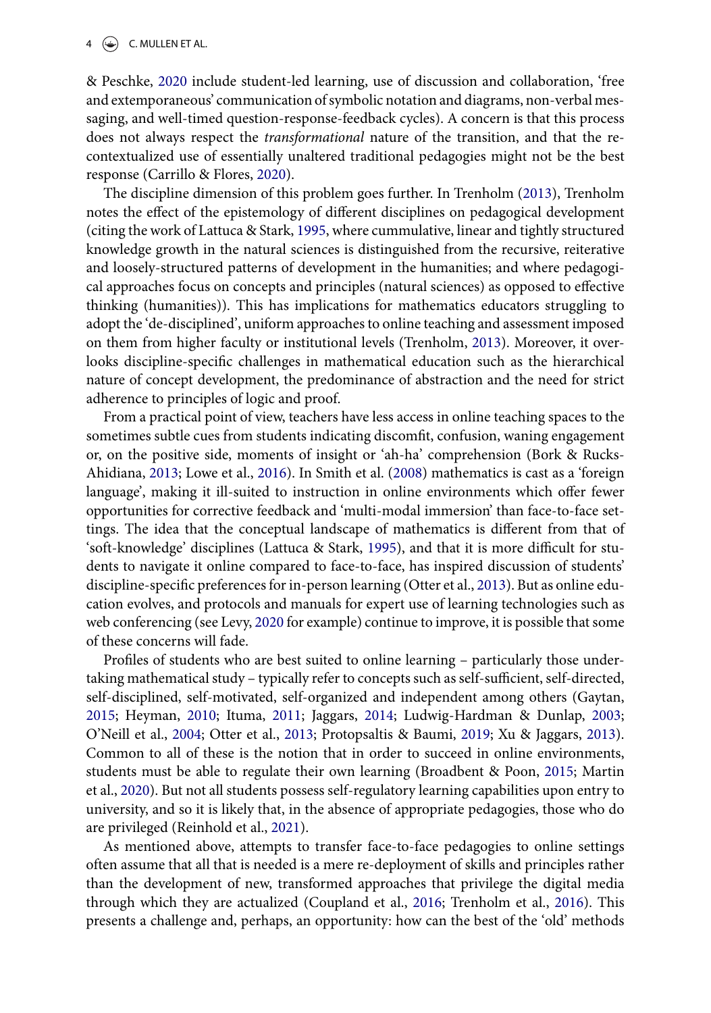### $4 \quad \Leftrightarrow$  C. MULLEN ET AL.

<span id="page-4-20"></span>& Peschke, [2020](#page-26-4) include student-led learning, use of discussion and collaboration, 'free and extemporaneous' communication of symbolic notation and diagrams, non-verbal messaging, and well-timed question-response-feedback cycles). A concern is that this process does not always respect the *transformational* nature of the transition, and that the recontextualized use of essentially unaltered traditional pedagogies might not be the best response (Carrillo & Flores, [2020\)](#page-23-7).

<span id="page-4-18"></span><span id="page-4-8"></span><span id="page-4-2"></span>The discipline dimension of this problem goes further. In Trenholm [\(2013\)](#page-26-5), Trenholm notes the effect of the epistemology of different disciplines on pedagogical development (citing the work of Lattuca & Stark, [1995,](#page-25-8) where cummulative, linear and tightly structured knowledge growth in the natural sciences is distinguished from the recursive, reiterative and loosely-structured patterns of development in the humanities; and where pedagogical approaches focus on concepts and principles (natural sciences) as opposed to effective thinking (humanities)). This has implications for mathematics educators struggling to adopt the 'de-disciplined', uniform approaches to online teaching and assessment imposed on them from higher faculty or institutional levels (Trenholm, [2013\)](#page-26-5). Moreover, it overlooks discipline-specific challenges in mathematical education such as the hierarchical nature of concept development, the predominance of abstraction and the need for strict adherence to principles of logic and proof.

<span id="page-4-17"></span><span id="page-4-10"></span><span id="page-4-0"></span>From a practical point of view, teachers have less access in online teaching spaces to the sometimes subtle cues from students indicating discomfit, confusion, waning engagement or, on the positive side, moments of insight or 'ah-ha' comprehension (Bork & Rucks-Ahidiana, [2013;](#page-23-8) Lowe et al., [2016\)](#page-25-9). In Smith et al. [\(2008\)](#page-26-6) mathematics is cast as a 'foreign language', making it ill-suited to instruction in online environments which offer fewer opportunities for corrective feedback and 'multi-modal immersion' than face-to-face settings. The idea that the conceptual landscape of mathematics is different from that of 'soft-knowledge' disciplines (Lattuca & Stark, [1995\)](#page-25-8), and that it is more difficult for students to navigate it online compared to face-to-face, has inspired discussion of students' discipline-specific preferences for in-person learning (Otter et al., [2013\)](#page-26-7). But as online education evolves, and protocols and manuals for expert use of learning technologies such as web conferencing (see Levy, [2020](#page-25-10) for example) continue to improve, it is possible that some of these concerns will fade.

<span id="page-4-21"></span><span id="page-4-15"></span><span id="page-4-14"></span><span id="page-4-13"></span><span id="page-4-11"></span><span id="page-4-9"></span><span id="page-4-7"></span><span id="page-4-6"></span><span id="page-4-5"></span><span id="page-4-4"></span>Profiles of students who are best suited to online learning – particularly those undertaking mathematical study – typically refer to concepts such as self-sufficient, self-directed, self-disciplined, self-motivated, self-organized and independent among others (Gaytan, [2015;](#page-24-8) Heyman, [2010;](#page-24-9) Ituma, [2011;](#page-24-10) Jaggars, [2014;](#page-24-11) Ludwig-Hardman & Dunlap, [2003;](#page-25-11) O'Neill et al., [2004;](#page-26-8) Otter et al., [2013;](#page-26-7) Protopsaltis & Baumi, [2019;](#page-26-9) Xu & Jaggars, [2013\)](#page-27-1). Common to all of these is the notion that in order to succeed in online environments, students must be able to regulate their own learning (Broadbent & Poon, [2015;](#page-23-9) Martin et al., [2020\)](#page-25-12). But not all students possess self-regulatory learning capabilities upon entry to university, and so it is likely that, in the absence of appropriate pedagogies, those who do are privileged (Reinhold et al., [2021\)](#page-26-10).

<span id="page-4-19"></span><span id="page-4-16"></span><span id="page-4-12"></span><span id="page-4-3"></span><span id="page-4-1"></span>As mentioned above, attempts to transfer face-to-face pedagogies to online settings often assume that all that is needed is a mere re-deployment of skills and principles rather than the development of new, transformed approaches that privilege the digital media through which they are actualized (Coupland et al., [2016;](#page-23-10) Trenholm et al., [2016\)](#page-26-11). This presents a challenge and, perhaps, an opportunity: how can the best of the 'old' methods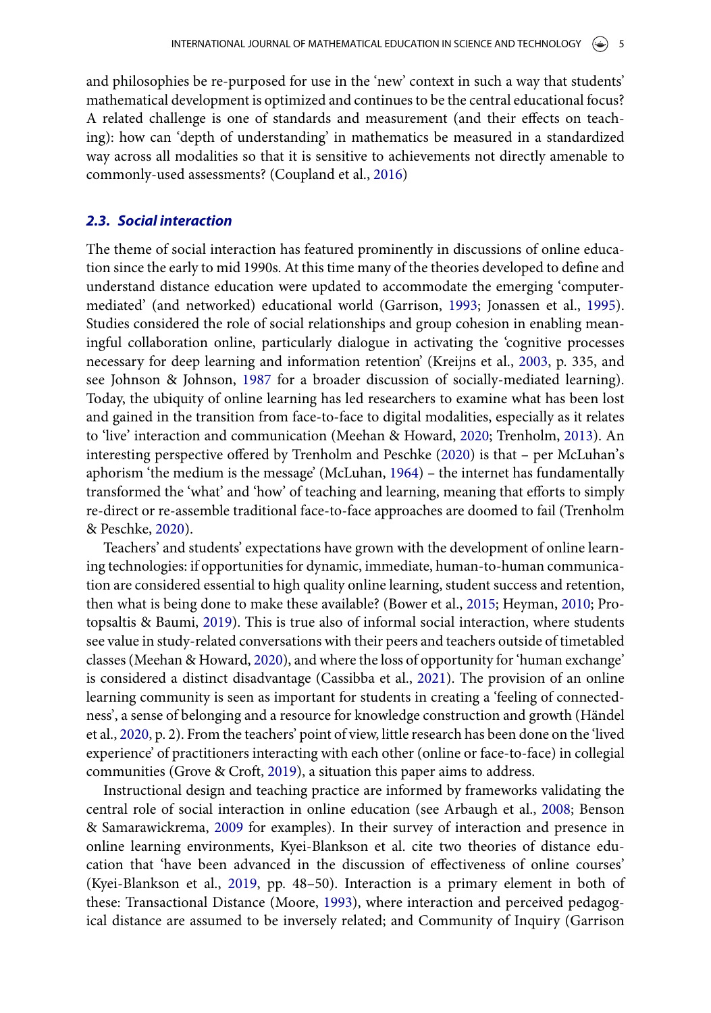and philosophies be re-purposed for use in the 'new' context in such a way that students' mathematical development is optimized and continues to be the central educational focus? A related challenge is one of standards and measurement (and their effects on teaching): how can 'depth of understanding' in mathematics be measured in a standardized way across all modalities so that it is sensitive to achievements not directly amenable to commonly-used assessments? (Coupland et al., [2016\)](#page-23-10)

### *2.3. Social interaction*

<span id="page-5-9"></span><span id="page-5-8"></span><span id="page-5-7"></span><span id="page-5-4"></span>The theme of social interaction has featured prominently in discussions of online education since the early to mid 1990s. At this time many of the theories developed to define and understand distance education were updated to accommodate the emerging 'computermediated' (and networked) educational world (Garrison, [1993;](#page-24-12) Jonassen et al., [1995\)](#page-24-13). Studies considered the role of social relationships and group cohesion in enabling meaningful collaboration online, particularly dialogue in activating the 'cognitive processes necessary for deep learning and information retention' (Kreijns et al., [2003,](#page-24-14) p. 335, and see Johnson & Johnson, [1987](#page-24-15) for a broader discussion of socially-mediated learning). Today, the ubiquity of online learning has led researchers to examine what has been lost and gained in the transition from face-to-face to digital modalities, especially as it relates to 'live' interaction and communication (Meehan & Howard, [2020;](#page-25-13) Trenholm, [2013\)](#page-26-5). An interesting perspective offered by Trenholm and Peschke [\(2020\)](#page-26-4) is that – per McLuhan's aphorism 'the medium is the message' (McLuhan, [1964\)](#page-25-14) – the internet has fundamentally transformed the 'what' and 'how' of teaching and learning, meaning that efforts to simply re-direct or re-assemble traditional face-to-face approaches are doomed to fail (Trenholm & Peschke, [2020\)](#page-26-4).

<span id="page-5-12"></span><span id="page-5-11"></span><span id="page-5-2"></span>Teachers' and students' expectations have grown with the development of online learning technologies: if opportunities for dynamic, immediate, human-to-human communication are considered essential to high quality online learning, student success and retention, then what is being done to make these available? (Bower et al., [2015;](#page-23-11) Heyman, [2010;](#page-24-9) Protopsaltis & Baumi, [2019\)](#page-26-9). This is true also of informal social interaction, where students see value in study-related conversations with their peers and teachers outside of timetabled classes (Meehan & Howard, [2020\)](#page-25-13), and where the loss of opportunity for 'human exchange' is considered a distinct disadvantage (Cassibba et al., [2021\)](#page-23-12). The provision of an online learning community is seen as important for students in creating a 'feeling of connectedness', a sense of belonging and a resource for knowledge construction and growth (Händel et al., [2020,](#page-24-16) p. 2). From the teachers' point of view, little research has been done on the 'lived experience' of practitioners interacting with each other (online or face-to-face) in collegial communities (Grove & Croft, [2019\)](#page-24-17), a situation this paper aims to address.

<span id="page-5-13"></span><span id="page-5-10"></span><span id="page-5-6"></span><span id="page-5-5"></span><span id="page-5-3"></span><span id="page-5-1"></span><span id="page-5-0"></span>Instructional design and teaching practice are informed by frameworks validating the central role of social interaction in online education (see Arbaugh et al., [2008;](#page-22-4) Benson & Samarawickrema, [2009](#page-23-13) for examples). In their survey of interaction and presence in online learning environments, Kyei-Blankson et al. cite two theories of distance education that 'have been advanced in the discussion of effectiveness of online courses' (Kyei-Blankson et al., [2019,](#page-25-15) pp. 48–50). Interaction is a primary element in both of these: Transactional Distance (Moore, [1993\)](#page-25-16), where interaction and perceived pedagogical distance are assumed to be inversely related; and Community of Inquiry (Garrison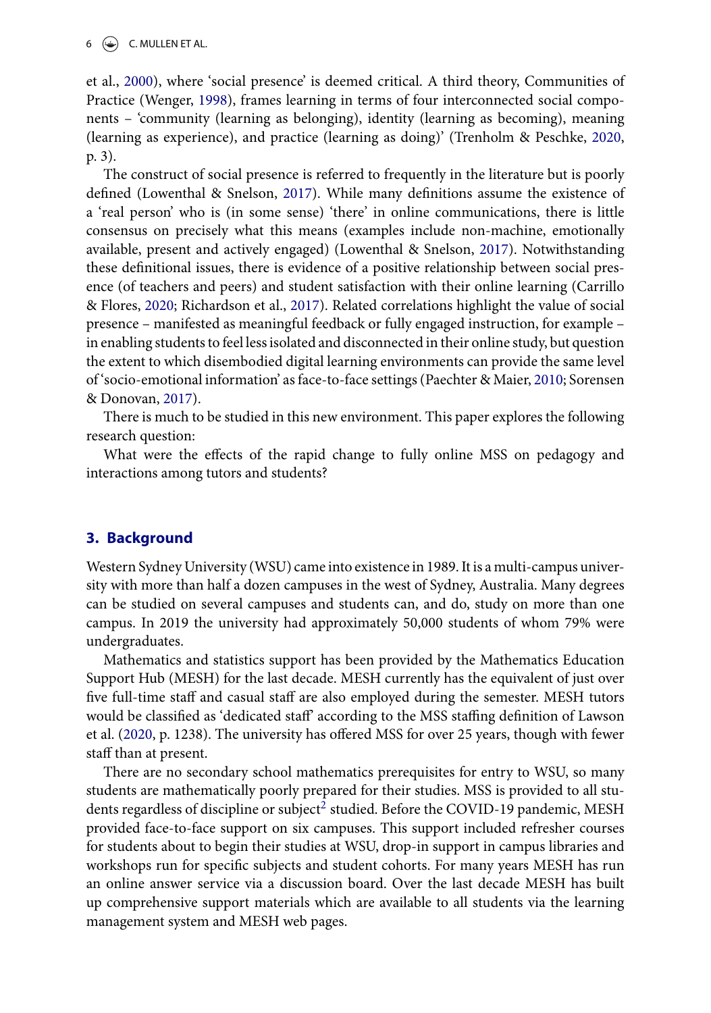<span id="page-6-6"></span><span id="page-6-1"></span>et al., [2000\)](#page-24-18), where 'social presence' is deemed critical. A third theory, Communities of Practice (Wenger, [1998\)](#page-27-2), frames learning in terms of four interconnected social components – 'community (learning as belonging), identity (learning as becoming), meaning (learning as experience), and practice (learning as doing)' (Trenholm & Peschke, [2020,](#page-26-4) p. 3).

<span id="page-6-2"></span>The construct of social presence is referred to frequently in the literature but is poorly defined (Lowenthal & Snelson, [2017\)](#page-25-17). While many definitions assume the existence of a 'real person' who is (in some sense) 'there' in online communications, there is little consensus on precisely what this means (examples include non-machine, emotionally available, present and actively engaged) (Lowenthal & Snelson, [2017\)](#page-25-17). Notwithstanding these definitional issues, there is evidence of a positive relationship between social presence (of teachers and peers) and student satisfaction with their online learning (Carrillo & Flores, [2020;](#page-23-7) Richardson et al., [2017\)](#page-26-12). Related correlations highlight the value of social presence – manifested as meaningful feedback or fully engaged instruction, for example – in enabling students to feel less isolated and disconnected in their online study, but question the extent to which disembodied digital learning environments can provide the same level of 'socio-emotional information' as face-to-face settings (Paechter & Maier, [2010;](#page-26-13) Sorensen & Donovan, [2017\)](#page-26-14).

<span id="page-6-5"></span><span id="page-6-4"></span><span id="page-6-3"></span>There is much to be studied in this new environment. This paper explores the following research question:

What were the effects of the rapid change to fully online MSS on pedagogy and interactions among tutors and students?

# **3. Background**

Western Sydney University (WSU) came into existence in 1989. It is a multi-campus university with more than half a dozen campuses in the west of Sydney, Australia. Many degrees can be studied on several campuses and students can, and do, study on more than one campus. In 2019 the university had approximately 50,000 students of whom 79% were undergraduates.

Mathematics and statistics support has been provided by the Mathematics Education Support Hub (MESH) for the last decade. MESH currently has the equivalent of just over five full-time staff and casual staff are also employed during the semester. MESH tutors would be classified as 'dedicated staff' according to the MSS staffing definition of Lawson et al. [\(2020,](#page-25-0) p. 1238). The university has offered MSS for over 25 years, though with fewer staff than at present.

<span id="page-6-0"></span>There are no secondary school mathematics prerequisites for entry to WSU, so many students are mathematically poorly prepared for their studies. MSS is provided to all stu-dents regardless of discipline or subject<sup>[2](#page-22-5)</sup> studied. Before the COVID-19 pandemic, MESH provided face-to-face support on six campuses. This support included refresher courses for students about to begin their studies at WSU, drop-in support in campus libraries and workshops run for specific subjects and student cohorts. For many years MESH has run an online answer service via a discussion board. Over the last decade MESH has built up comprehensive support materials which are available to all students via the learning management system and MESH web pages.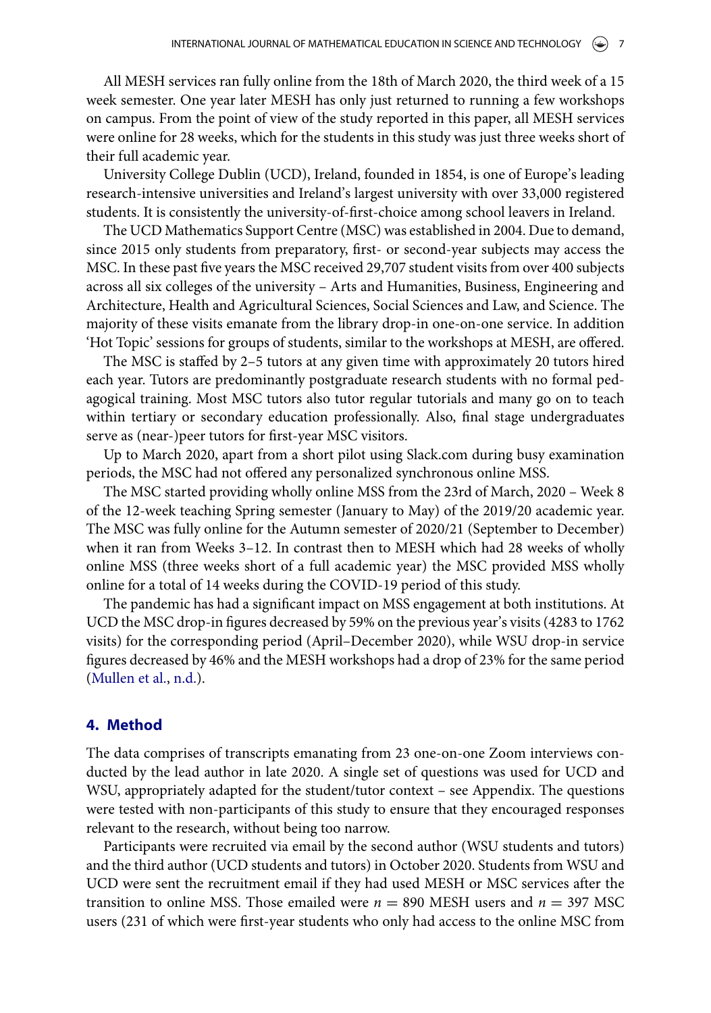All MESH services ran fully online from the 18th of March 2020, the third week of a 15 week semester. One year later MESH has only just returned to running a few workshops on campus. From the point of view of the study reported in this paper, all MESH services were online for 28 weeks, which for the students in this study was just three weeks short of their full academic year.

University College Dublin (UCD), Ireland, founded in 1854, is one of Europe's leading research-intensive universities and Ireland's largest university with over 33,000 registered students. It is consistently the university-of-first-choice among school leavers in Ireland.

The UCD Mathematics Support Centre (MSC) was established in 2004. Due to demand, since 2015 only students from preparatory, first- or second-year subjects may access the MSC. In these past five years the MSC received 29,707 student visits from over 400 subjects across all six colleges of the university – Arts and Humanities, Business, Engineering and Architecture, Health and Agricultural Sciences, Social Sciences and Law, and Science. The majority of these visits emanate from the library drop-in one-on-one service. In addition 'Hot Topic' sessions for groups of students, similar to the workshops at MESH, are offered.

The MSC is staffed by 2–5 tutors at any given time with approximately 20 tutors hired each year. Tutors are predominantly postgraduate research students with no formal pedagogical training. Most MSC tutors also tutor regular tutorials and many go on to teach within tertiary or secondary education professionally. Also, final stage undergraduates serve as (near-)peer tutors for first-year MSC visitors.

Up to March 2020, apart from a short pilot using Slack.com during busy examination periods, the MSC had not offered any personalized synchronous online MSS.

The MSC started providing wholly online MSS from the 23rd of March, 2020 – Week 8 of the 12-week teaching Spring semester (January to May) of the 2019/20 academic year. The MSC was fully online for the Autumn semester of 2020/21 (September to December) when it ran from Weeks 3–12. In contrast then to MESH which had 28 weeks of wholly online MSS (three weeks short of a full academic year) the MSC provided MSS wholly online for a total of 14 weeks during the COVID-19 period of this study.

The pandemic has had a significant impact on MSS engagement at both institutions. At UCD the MSC drop-in figures decreased by 59% on the previous year's visits (4283 to 1762 visits) for the corresponding period (April–December 2020), while WSU drop-in service figures decreased by 46% and the MESH workshops had a drop of 23% for the same period [\(Mullen et al.,](#page-25-7) [n.d.\)](#page-25-7).

# **4. Method**

The data comprises of transcripts emanating from 23 one-on-one Zoom interviews conducted by the lead author in late 2020. A single set of questions was used for UCD and WSU, appropriately adapted for the student/tutor context – see Appendix. The questions were tested with non-participants of this study to ensure that they encouraged responses relevant to the research, without being too narrow.

Participants were recruited via email by the second author (WSU students and tutors) and the third author (UCD students and tutors) in October 2020. Students from WSU and UCD were sent the recruitment email if they had used MESH or MSC services after the transition to online MSS. Those emailed were  $n = 890$  MESH users and  $n = 397$  MSC users (231 of which were first-year students who only had access to the online MSC from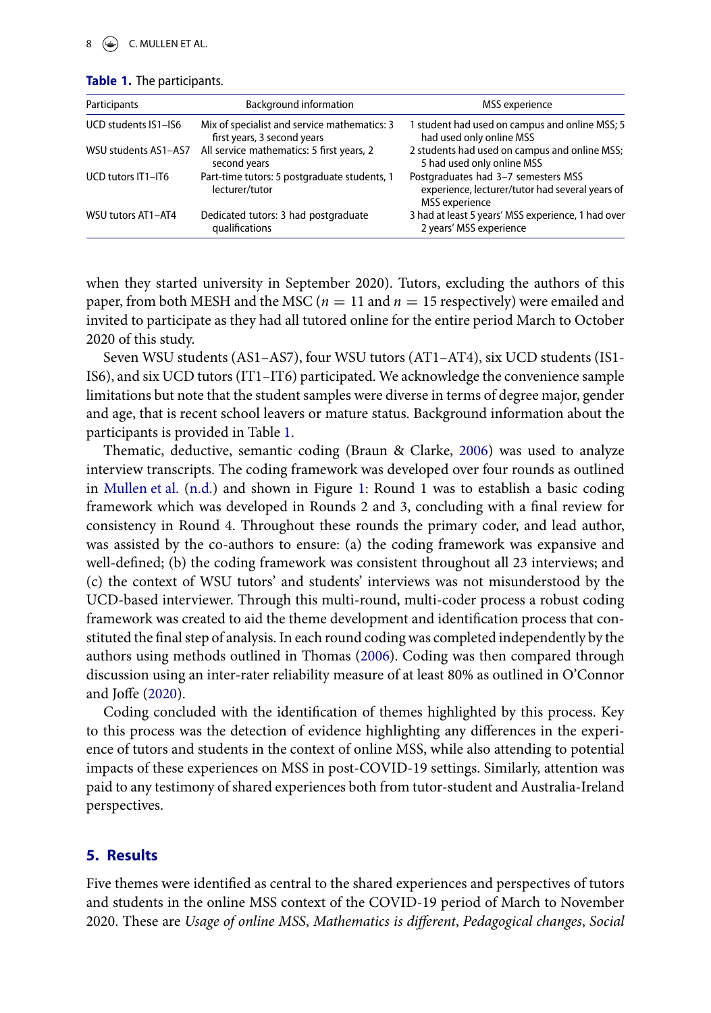### $8 \quad \textcircled{\LARGE{\LARGE{\text{}}}\quad}$  C. MULLEN ET AL.

<span id="page-8-0"></span>

| Participants         | <b>Background information</b>                                               | <b>MSS</b> experience<br>1 student had used on campus and online MSS; 5<br>had used only online MSS<br>2 students had used on campus and online MSS;<br>5 had used only online MSS<br>Postgraduates had 3-7 semesters MSS<br>experience, lecturer/tutor had several years of<br>MSS experience |  |
|----------------------|-----------------------------------------------------------------------------|------------------------------------------------------------------------------------------------------------------------------------------------------------------------------------------------------------------------------------------------------------------------------------------------|--|
| UCD students IS1-IS6 | Mix of specialist and service mathematics: 3<br>first years, 3 second years |                                                                                                                                                                                                                                                                                                |  |
| WSU students AS1-AS7 | All service mathematics: 5 first years, 2<br>second years                   |                                                                                                                                                                                                                                                                                                |  |
| UCD tutors IT1-IT6   | Part-time tutors: 5 postgraduate students, 1<br>lecturer/tutor              |                                                                                                                                                                                                                                                                                                |  |
| WSU tutors AT1-AT4   | Dedicated tutors: 3 had postgraduate<br>qualifications                      | 3 had at least 5 years' MSS experience, 1 had over<br>2 years' MSS experience                                                                                                                                                                                                                  |  |

|  | Table 1. The participants. |
|--|----------------------------|
|  |                            |

when they started university in September 2020). Tutors, excluding the authors of this paper, from both MESH and the MSC ( $n = 11$  and  $n = 15$  respectively) were emailed and invited to participate as they had all tutored online for the entire period March to October 2020 of this study.

Seven WSU students (AS1–AS7), four WSU tutors (AT1–AT4), six UCD students (IS1- IS6), and six UCD tutors (IT1–IT6) participated. We acknowledge the convenience sample limitations but note that the student samples were diverse in terms of degree major, gender and age, that is recent school leavers or mature status. Background information about the participants is provided in Table [1.](#page-8-0)

<span id="page-8-1"></span>Thematic, deductive, semantic coding (Braun & Clarke, [2006\)](#page-23-14) was used to analyze interview transcripts. The coding framework was developed over four rounds as outlined in [Mullen et al.](#page-25-7) [\(n.d.\)](#page-25-7) and shown in Figure [1:](#page-9-0) Round 1 was to establish a basic coding framework which was developed in Rounds 2 and 3, concluding with a final review for consistency in Round 4. Throughout these rounds the primary coder, and lead author, was assisted by the co-authors to ensure: (a) the coding framework was expansive and well-defined; (b) the coding framework was consistent throughout all 23 interviews; and (c) the context of WSU tutors' and students' interviews was not misunderstood by the UCD-based interviewer. Through this multi-round, multi-coder process a robust coding framework was created to aid the theme development and identification process that constituted the final step of analysis. In each round coding was completed independently by the authors using methods outlined in Thomas [\(2006\)](#page-26-15). Coding was then compared through discussion using an inter-rater reliability measure of at least 80% as outlined in O'Connor and Joffe [\(2020\)](#page-25-18).

<span id="page-8-3"></span><span id="page-8-2"></span>Coding concluded with the identification of themes highlighted by this process. Key to this process was the detection of evidence highlighting any differences in the experience of tutors and students in the context of online MSS, while also attending to potential impacts of these experiences on MSS in post-COVID-19 settings. Similarly, attention was paid to any testimony of shared experiences both from tutor-student and Australia-Ireland perspectives.

# **5. Results**

Five themes were identified as central to the shared experiences and perspectives of tutors and students in the online MSS context of the COVID-19 period of March to November 2020. These are *Usage of online MSS*, *Mathematics is different*, *Pedagogical changes*, *Social*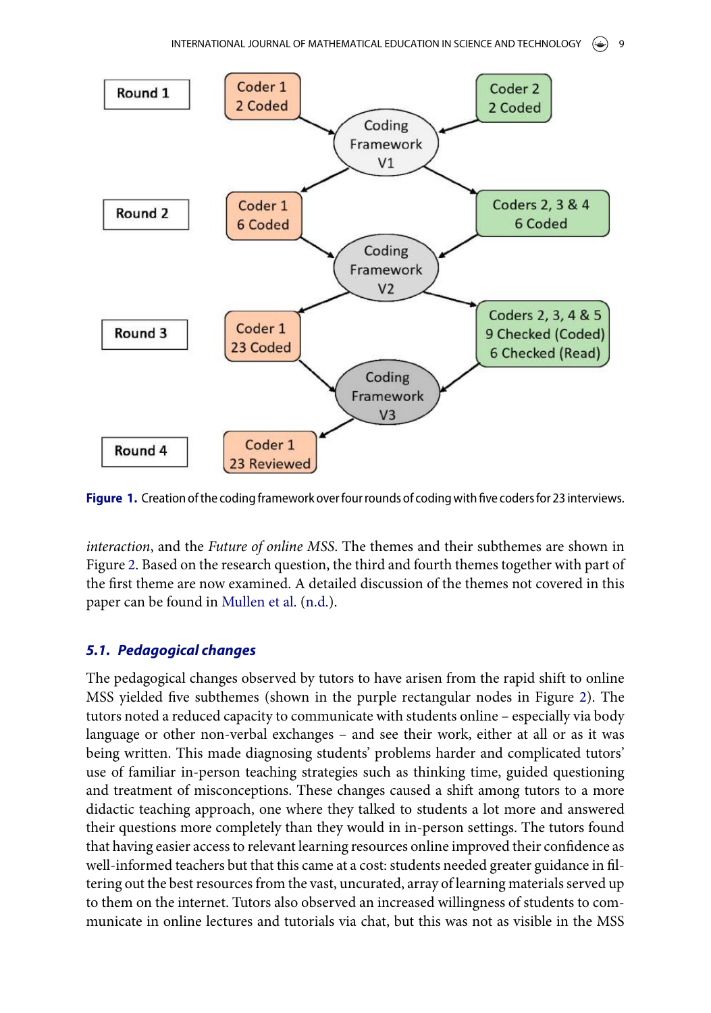

<span id="page-9-0"></span>Figure 1. Creation of the coding framework over four rounds of coding with five coders for 23 interviews.

*interaction*, and the *Future of online MSS*. The themes and their subthemes are shown in Figure [2.](#page-10-0) Based on the research question, the third and fourth themes together with part of the first theme are now examined. A detailed discussion of the themes not covered in this paper can be found in [Mullen et al.](#page-25-7) [\(n.d.\)](#page-25-7).

# *5.1. Pedagogical changes*

The pedagogical changes observed by tutors to have arisen from the rapid shift to online MSS yielded five subthemes (shown in the purple rectangular nodes in Figure [2\)](#page-10-0). The tutors noted a reduced capacity to communicate with students online – especially via body language or other non-verbal exchanges – and see their work, either at all or as it was being written. This made diagnosing students' problems harder and complicated tutors' use of familiar in-person teaching strategies such as thinking time, guided questioning and treatment of misconceptions. These changes caused a shift among tutors to a more didactic teaching approach, one where they talked to students a lot more and answered their questions more completely than they would in in-person settings. The tutors found that having easier access to relevant learning resources online improved their confidence as well-informed teachers but that this came at a cost: students needed greater guidance in filtering out the best resources from the vast, uncurated, array of learning materials served up to them on the internet. Tutors also observed an increased willingness of students to communicate in online lectures and tutorials via chat, but this was not as visible in the MSS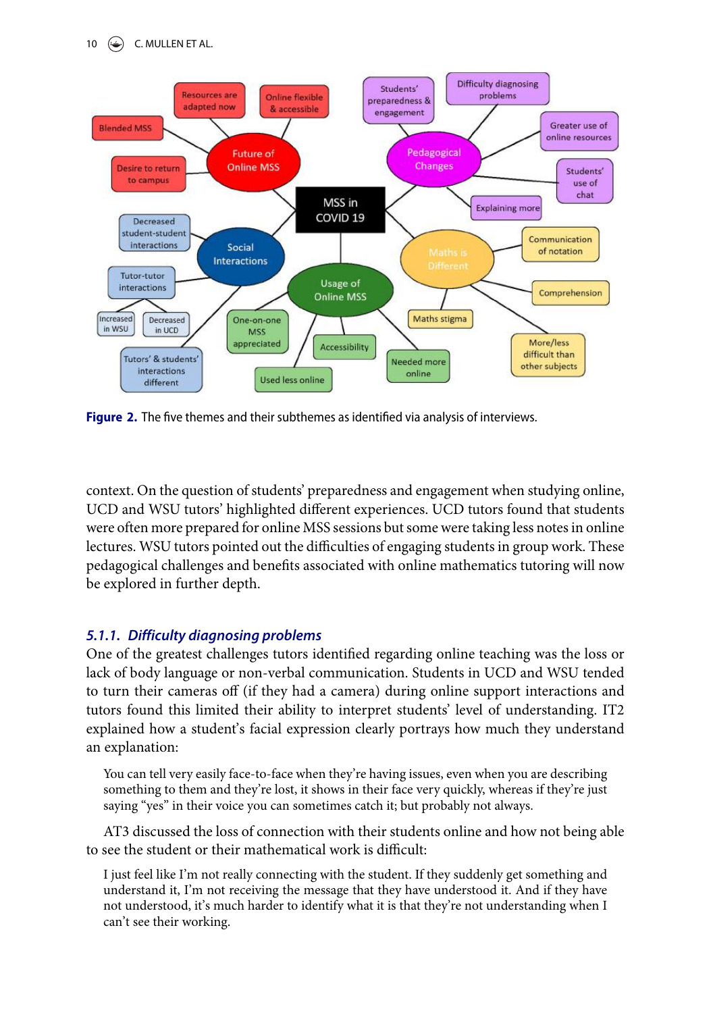10  $\left(\bigcirc\right)$  C. MULLEN ET AL.



<span id="page-10-0"></span>**Figure 2.** The five themes and their subthemes as identified via analysis of interviews.

context. On the question of students' preparedness and engagement when studying online, UCD and WSU tutors' highlighted different experiences. UCD tutors found that students were often more prepared for online MSS sessions but some were taking less notes in online lectures. WSU tutors pointed out the difficulties of engaging students in group work. These pedagogical challenges and benefits associated with online mathematics tutoring will now be explored in further depth.

# *5.1.1. Difficulty diagnosing problems*

One of the greatest challenges tutors identified regarding online teaching was the loss or lack of body language or non-verbal communication. Students in UCD and WSU tended to turn their cameras off (if they had a camera) during online support interactions and tutors found this limited their ability to interpret students' level of understanding. IT2 explained how a student's facial expression clearly portrays how much they understand an explanation:

You can tell very easily face-to-face when they're having issues, even when you are describing something to them and they're lost, it shows in their face very quickly, whereas if they're just saying "yes" in their voice you can sometimes catch it; but probably not always.

AT3 discussed the loss of connection with their students online and how not being able to see the student or their mathematical work is difficult:

I just feel like I'm not really connecting with the student. If they suddenly get something and understand it, I'm not receiving the message that they have understood it. And if they have not understood, it's much harder to identify what it is that they're not understanding when I can't see their working.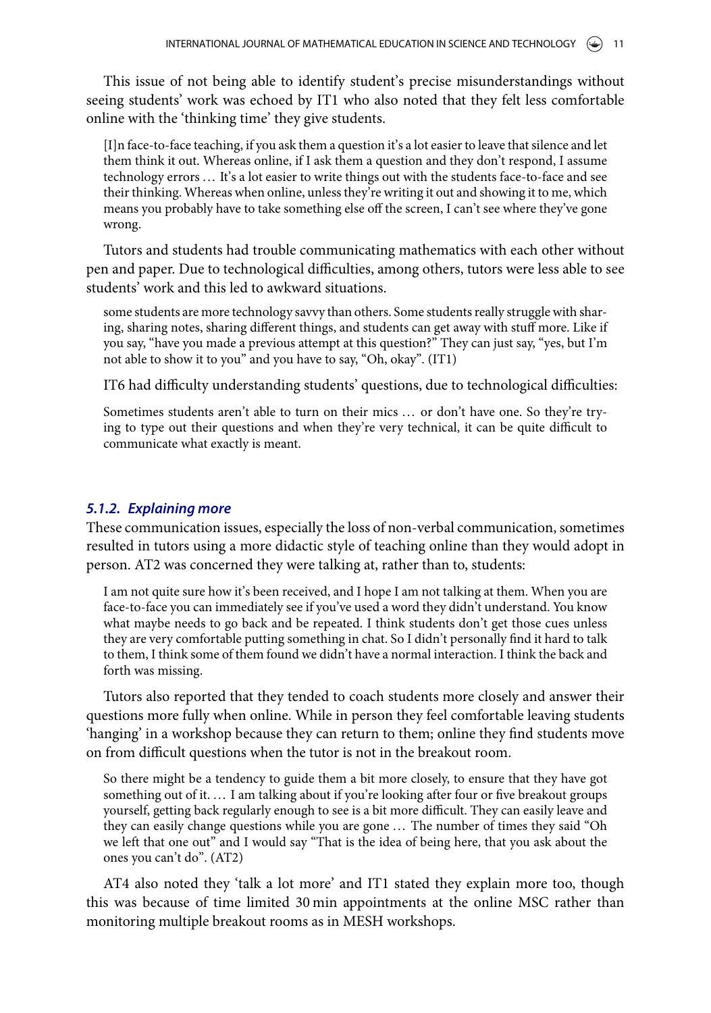This issue of not being able to identify student's precise misunderstandings without seeing students' work was echoed by IT1 who also noted that they felt less comfortable online with the 'thinking time' they give students.

[I]n face-to-face teaching, if you ask them a question it's a lot easier to leave that silence and let them think it out. Whereas online, if I ask them a question and they don't respond, I assume technology errors ... It's a lot easier to write things out with the students face-to-face and see their thinking. Whereas when online, unless they're writing it out and showing it to me, which means you probably have to take something else off the screen, I can't see where they've gone wrong.

Tutors and students had trouble communicating mathematics with each other without pen and paper. Due to technological difficulties, among others, tutors were less able to see students' work and this led to awkward situations.

some students are more technology savvy than others. Some students really struggle with sharing, sharing notes, sharing different things, and students can get away with stuff more. Like if you say, "have you made a previous attempt at this question?" They can just say, "yes, but I'm not able to show it to you" and you have to say, "Oh, okay". (IT1)

IT6 had difficulty understanding students' questions, due to technological difficulties:

Sometimes students aren't able to turn on their mics ... or don't have one. So they're trying to type out their questions and when they're very technical, it can be quite difficult to communicate what exactly is meant.

# *5.1.2. Explaining more*

These communication issues, especially the loss of non-verbal communication, sometimes resulted in tutors using a more didactic style of teaching online than they would adopt in person. AT2 was concerned they were talking at, rather than to, students:

I am not quite sure how it's been received, and I hope I am not talking at them. When you are face-to-face you can immediately see if you've used a word they didn't understand. You know what maybe needs to go back and be repeated. I think students don't get those cues unless they are very comfortable putting something in chat. So I didn't personally find it hard to talk to them, I think some of them found we didn't have a normal interaction. I think the back and forth was missing.

Tutors also reported that they tended to coach students more closely and answer their questions more fully when online. While in person they feel comfortable leaving students 'hanging' in a workshop because they can return to them; online they find students move on from difficult questions when the tutor is not in the breakout room.

So there might be a tendency to guide them a bit more closely, to ensure that they have got something out of it.... I am talking about if you're looking after four or five breakout groups yourself, getting back regularly enough to see is a bit more difficult. They can easily leave and they can easily change questions while you are gone . . . The number of times they said "Oh we left that one out" and I would say "That is the idea of being here, that you ask about the ones you can't do". (AT2)

AT4 also noted they 'talk a lot more' and IT1 stated they explain more too, though this was because of time limited 30 min appointments at the online MSC rather than monitoring multiple breakout rooms as in MESH workshops.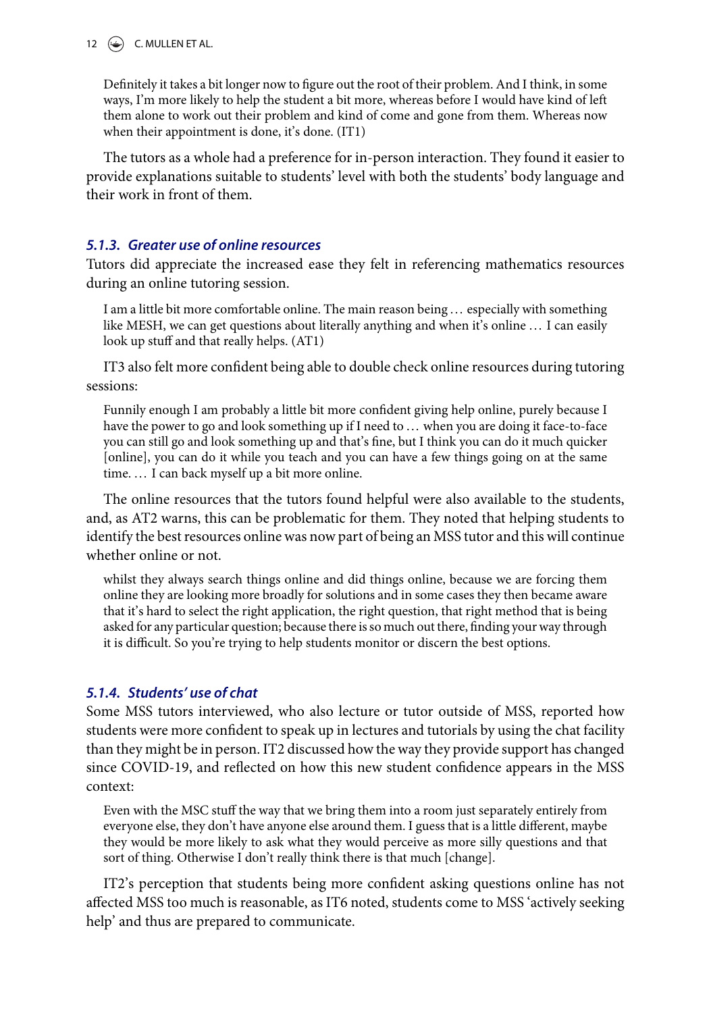12  $\left(\frac{1}{2}\right)$  C. MULLEN ET AL.

Definitely it takes a bit longer now to figure out the root of their problem. And I think, in some ways, I'm more likely to help the student a bit more, whereas before I would have kind of left them alone to work out their problem and kind of come and gone from them. Whereas now when their appointment is done, it's done. (IT1)

The tutors as a whole had a preference for in-person interaction. They found it easier to provide explanations suitable to students' level with both the students' body language and their work in front of them.

# *5.1.3. Greater use of online resources*

Tutors did appreciate the increased ease they felt in referencing mathematics resources during an online tutoring session.

I am a little bit more comfortable online. The main reason being . . . especially with something like MESH, we can get questions about literally anything and when it's online ... I can easily look up stuff and that really helps. (AT1)

IT3 also felt more confident being able to double check online resources during tutoring sessions:

Funnily enough I am probably a little bit more confident giving help online, purely because I have the power to go and look something up if I need to ... when you are doing it face-to-face you can still go and look something up and that's fine, but I think you can do it much quicker [online], you can do it while you teach and you can have a few things going on at the same time. ... I can back myself up a bit more online.

The online resources that the tutors found helpful were also available to the students, and, as AT2 warns, this can be problematic for them. They noted that helping students to identify the best resources online was now part of being an MSS tutor and this will continue whether online or not.

whilst they always search things online and did things online, because we are forcing them online they are looking more broadly for solutions and in some cases they then became aware that it's hard to select the right application, the right question, that right method that is being asked for any particular question; because there is so much out there, finding your way through it is difficult. So you're trying to help students monitor or discern the best options.

# *5.1.4. Students' use of chat*

Some MSS tutors interviewed, who also lecture or tutor outside of MSS, reported how students were more confident to speak up in lectures and tutorials by using the chat facility than they might be in person. IT2 discussed how the way they provide support has changed since COVID-19, and reflected on how this new student confidence appears in the MSS context:

Even with the MSC stuff the way that we bring them into a room just separately entirely from everyone else, they don't have anyone else around them. I guess that is a little different, maybe they would be more likely to ask what they would perceive as more silly questions and that sort of thing. Otherwise I don't really think there is that much [change].

IT2's perception that students being more confident asking questions online has not affected MSS too much is reasonable, as IT6 noted, students come to MSS 'actively seeking help' and thus are prepared to communicate.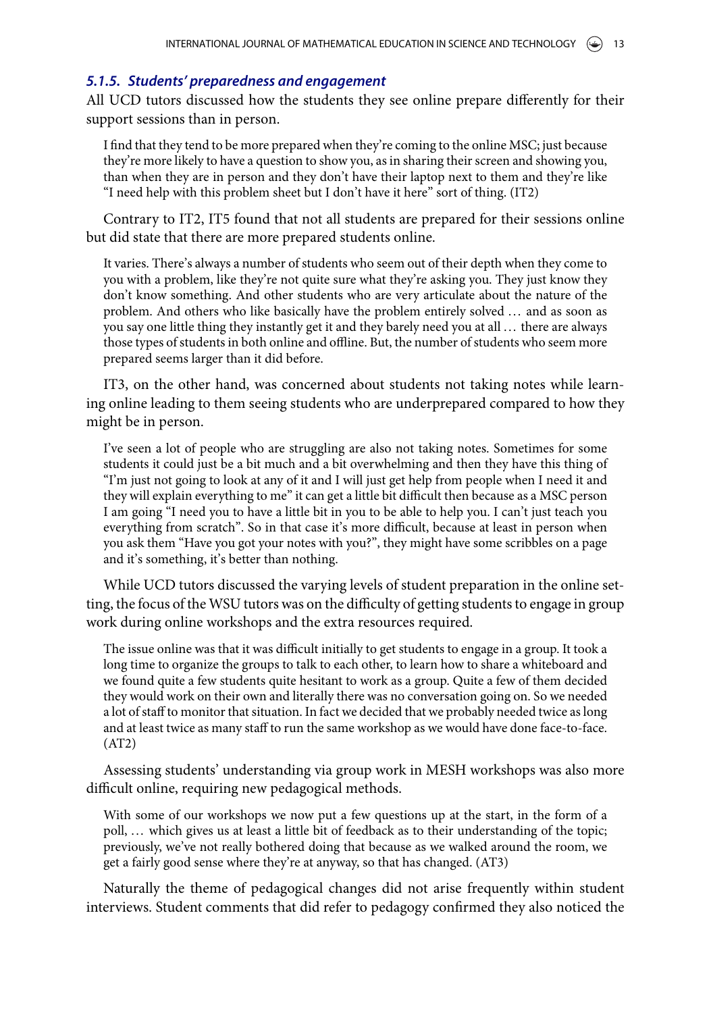# *5.1.5. Students' preparedness and engagement*

All UCD tutors discussed how the students they see online prepare differently for their support sessions than in person.

I find that they tend to be more prepared when they're coming to the online MSC; just because they're more likely to have a question to show you, as in sharing their screen and showing you, than when they are in person and they don't have their laptop next to them and they're like "I need help with this problem sheet but I don't have it here" sort of thing. (IT2)

Contrary to IT2, IT5 found that not all students are prepared for their sessions online but did state that there are more prepared students online.

It varies. There's always a number of students who seem out of their depth when they come to you with a problem, like they're not quite sure what they're asking you. They just know they don't know something. And other students who are very articulate about the nature of the problem. And others who like basically have the problem entirely solved . . . and as soon as you say one little thing they instantly get it and they barely need you at all . . . there are always those types of students in both online and offline. But, the number of students who seem more prepared seems larger than it did before.

IT3, on the other hand, was concerned about students not taking notes while learning online leading to them seeing students who are underprepared compared to how they might be in person.

I've seen a lot of people who are struggling are also not taking notes. Sometimes for some students it could just be a bit much and a bit overwhelming and then they have this thing of "I'm just not going to look at any of it and I will just get help from people when I need it and they will explain everything to me" it can get a little bit difficult then because as a MSC person I am going "I need you to have a little bit in you to be able to help you. I can't just teach you everything from scratch". So in that case it's more difficult, because at least in person when you ask them "Have you got your notes with you?", they might have some scribbles on a page and it's something, it's better than nothing.

While UCD tutors discussed the varying levels of student preparation in the online setting, the focus of the WSU tutors was on the difficulty of getting students to engage in group work during online workshops and the extra resources required.

The issue online was that it was difficult initially to get students to engage in a group. It took a long time to organize the groups to talk to each other, to learn how to share a whiteboard and we found quite a few students quite hesitant to work as a group. Quite a few of them decided they would work on their own and literally there was no conversation going on. So we needed a lot of staff to monitor that situation. In fact we decided that we probably needed twice as long and at least twice as many staff to run the same workshop as we would have done face-to-face. (AT2)

Assessing students' understanding via group work in MESH workshops was also more difficult online, requiring new pedagogical methods.

With some of our workshops we now put a few questions up at the start, in the form of a poll, ... which gives us at least a little bit of feedback as to their understanding of the topic; previously, we've not really bothered doing that because as we walked around the room, we get a fairly good sense where they're at anyway, so that has changed. (AT3)

Naturally the theme of pedagogical changes did not arise frequently within student interviews. Student comments that did refer to pedagogy confirmed they also noticed the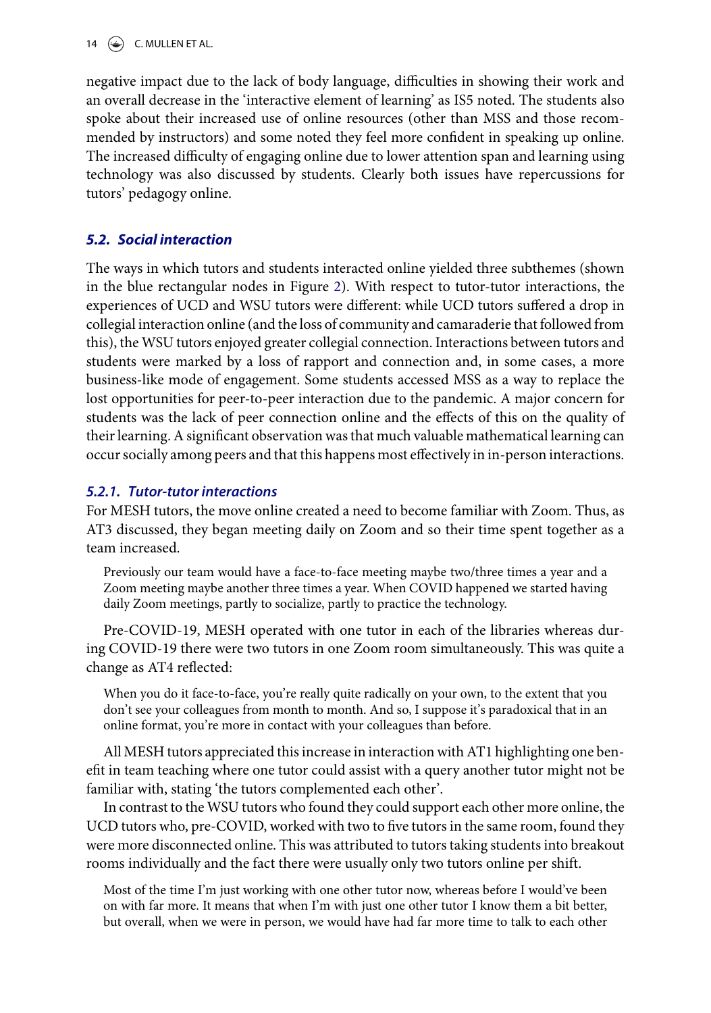14  $\left(\bigstar\right)$  C. MULLEN ET AL.

negative impact due to the lack of body language, difficulties in showing their work and an overall decrease in the 'interactive element of learning' as IS5 noted. The students also spoke about their increased use of online resources (other than MSS and those recommended by instructors) and some noted they feel more confident in speaking up online. The increased difficulty of engaging online due to lower attention span and learning using technology was also discussed by students. Clearly both issues have repercussions for tutors' pedagogy online.

# *5.2. Social interaction*

The ways in which tutors and students interacted online yielded three subthemes (shown in the blue rectangular nodes in Figure [2\)](#page-10-0). With respect to tutor-tutor interactions, the experiences of UCD and WSU tutors were different: while UCD tutors suffered a drop in collegial interaction online (and the loss of community and camaraderie that followed from this), the WSU tutors enjoyed greater collegial connection. Interactions between tutors and students were marked by a loss of rapport and connection and, in some cases, a more business-like mode of engagement. Some students accessed MSS as a way to replace the lost opportunities for peer-to-peer interaction due to the pandemic. A major concern for students was the lack of peer connection online and the effects of this on the quality of their learning. A significant observation was that much valuable mathematical learning can occur socially among peers and that this happens most effectively in in-person interactions.

# *5.2.1. Tutor-tutor interactions*

For MESH tutors, the move online created a need to become familiar with Zoom. Thus, as AT3 discussed, they began meeting daily on Zoom and so their time spent together as a team increased.

Previously our team would have a face-to-face meeting maybe two/three times a year and a Zoom meeting maybe another three times a year. When COVID happened we started having daily Zoom meetings, partly to socialize, partly to practice the technology.

Pre-COVID-19, MESH operated with one tutor in each of the libraries whereas during COVID-19 there were two tutors in one Zoom room simultaneously. This was quite a change as AT4 reflected:

When you do it face-to-face, you're really quite radically on your own, to the extent that you don't see your colleagues from month to month. And so, I suppose it's paradoxical that in an online format, you're more in contact with your colleagues than before.

All MESH tutors appreciated this increase in interaction with AT1 highlighting one benefit in team teaching where one tutor could assist with a query another tutor might not be familiar with, stating 'the tutors complemented each other'.

In contrast to the WSU tutors who found they could support each other more online, the UCD tutors who, pre-COVID, worked with two to five tutors in the same room, found they were more disconnected online. This was attributed to tutors taking students into breakout rooms individually and the fact there were usually only two tutors online per shift.

Most of the time I'm just working with one other tutor now, whereas before I would've been on with far more. It means that when I'm with just one other tutor I know them a bit better, but overall, when we were in person, we would have had far more time to talk to each other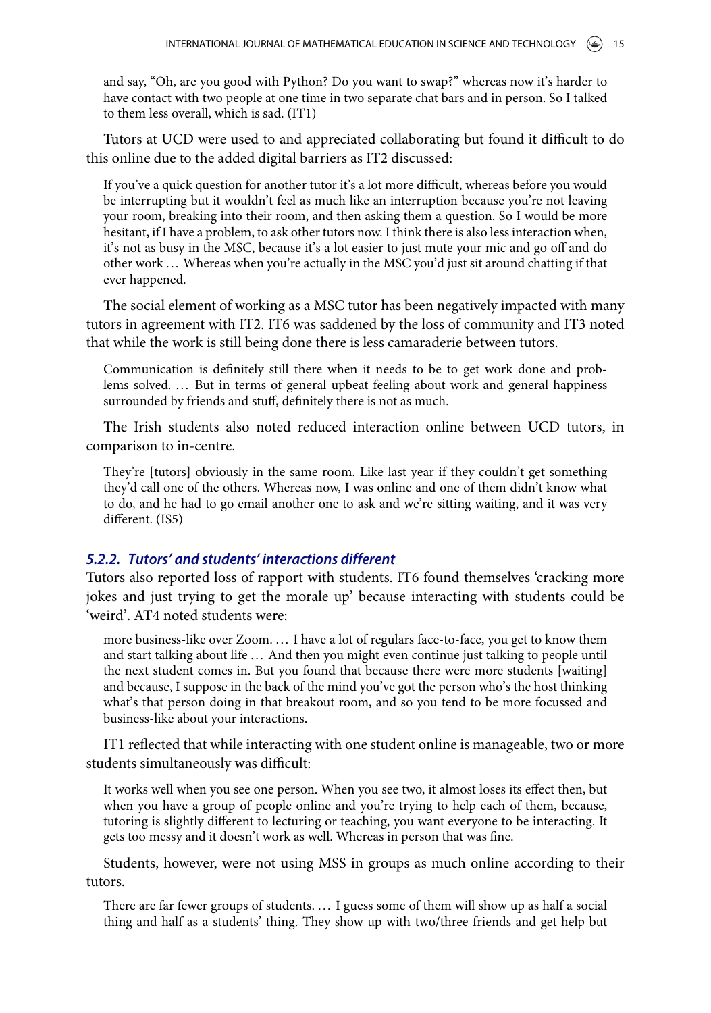and say, "Oh, are you good with Python? Do you want to swap?" whereas now it's harder to have contact with two people at one time in two separate chat bars and in person. So I talked to them less overall, which is sad. (IT1)

Tutors at UCD were used to and appreciated collaborating but found it difficult to do this online due to the added digital barriers as IT2 discussed:

If you've a quick question for another tutor it's a lot more difficult, whereas before you would be interrupting but it wouldn't feel as much like an interruption because you're not leaving your room, breaking into their room, and then asking them a question. So I would be more hesitant, if I have a problem, to ask other tutors now. I think there is also less interaction when, it's not as busy in the MSC, because it's a lot easier to just mute your mic and go off and do other work ... Whereas when you're actually in the MSC you'd just sit around chatting if that ever happened.

The social element of working as a MSC tutor has been negatively impacted with many tutors in agreement with IT2. IT6 was saddened by the loss of community and IT3 noted that while the work is still being done there is less camaraderie between tutors.

Communication is definitely still there when it needs to be to get work done and problems solved. ... But in terms of general upbeat feeling about work and general happiness surrounded by friends and stuff, definitely there is not as much.

The Irish students also noted reduced interaction online between UCD tutors, in comparison to in-centre.

They're [tutors] obviously in the same room. Like last year if they couldn't get something they'd call one of the others. Whereas now, I was online and one of them didn't know what to do, and he had to go email another one to ask and we're sitting waiting, and it was very different. (IS5)

## *5.2.2. Tutors' and students' interactions different*

Tutors also reported loss of rapport with students. IT6 found themselves 'cracking more jokes and just trying to get the morale up' because interacting with students could be 'weird'. AT4 noted students were:

more business-like over Zoom. . . . I have a lot of regulars face-to-face, you get to know them and start talking about life . . . And then you might even continue just talking to people until the next student comes in. But you found that because there were more students [waiting] and because, I suppose in the back of the mind you've got the person who's the host thinking what's that person doing in that breakout room, and so you tend to be more focussed and business-like about your interactions.

IT1 reflected that while interacting with one student online is manageable, two or more students simultaneously was difficult:

It works well when you see one person. When you see two, it almost loses its effect then, but when you have a group of people online and you're trying to help each of them, because, tutoring is slightly different to lecturing or teaching, you want everyone to be interacting. It gets too messy and it doesn't work as well. Whereas in person that was fine.

Students, however, were not using MSS in groups as much online according to their tutors.

There are far fewer groups of students. ... I guess some of them will show up as half a social thing and half as a students' thing. They show up with two/three friends and get help but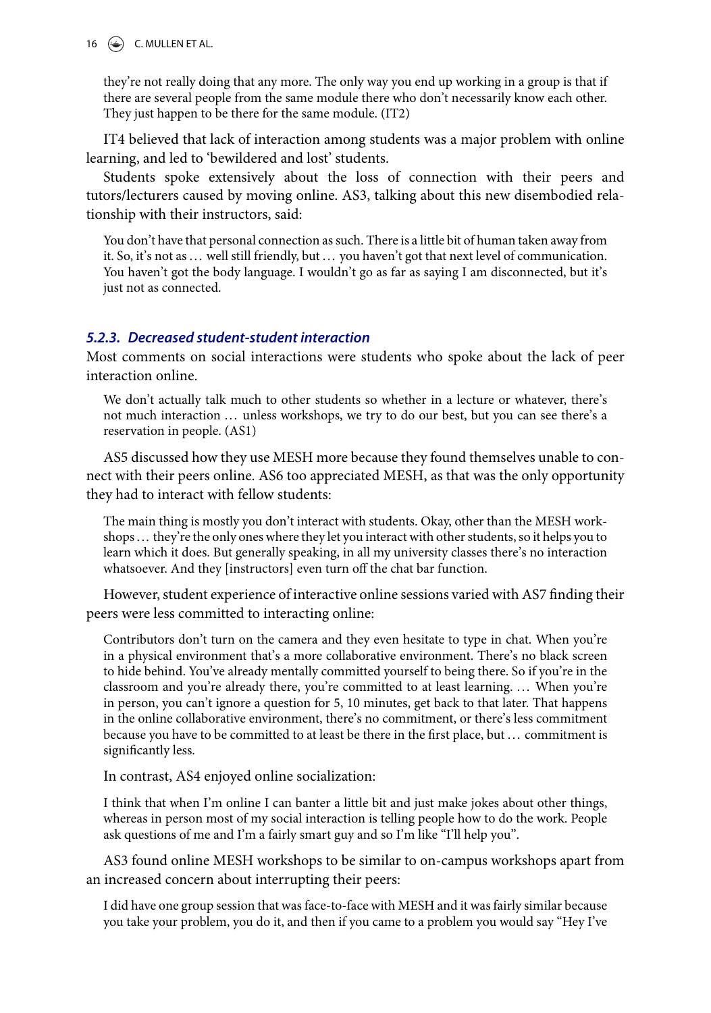## 16  $\left(\frac{1}{2}\right)$  C. MULLEN ET AL.

they're not really doing that any more. The only way you end up working in a group is that if there are several people from the same module there who don't necessarily know each other. They just happen to be there for the same module. (IT2)

IT4 believed that lack of interaction among students was a major problem with online learning, and led to 'bewildered and lost' students.

Students spoke extensively about the loss of connection with their peers and tutors/lecturers caused by moving online. AS3, talking about this new disembodied relationship with their instructors, said:

You don't have that personal connection as such. There is a little bit of human taken away from it. So, it's not as ... well still friendly, but ... you haven't got that next level of communication. You haven't got the body language. I wouldn't go as far as saying I am disconnected, but it's just not as connected.

# *5.2.3. Decreased student-student interaction*

Most comments on social interactions were students who spoke about the lack of peer interaction online.

We don't actually talk much to other students so whether in a lecture or whatever, there's not much interaction ... unless workshops, we try to do our best, but you can see there's a reservation in people. (AS1)

AS5 discussed how they use MESH more because they found themselves unable to connect with their peers online. AS6 too appreciated MESH, as that was the only opportunity they had to interact with fellow students:

The main thing is mostly you don't interact with students. Okay, other than the MESH workshops . . . they're the only ones where they let you interact with other students, so it helps you to learn which it does. But generally speaking, in all my university classes there's no interaction whatsoever. And they [instructors] even turn off the chat bar function.

However, student experience of interactive online sessions varied with AS7 finding their peers were less committed to interacting online:

Contributors don't turn on the camera and they even hesitate to type in chat. When you're in a physical environment that's a more collaborative environment. There's no black screen to hide behind. You've already mentally committed yourself to being there. So if you're in the classroom and you're already there, you're committed to at least learning. . . . When you're in person, you can't ignore a question for 5, 10 minutes, get back to that later. That happens in the online collaborative environment, there's no commitment, or there's less commitment because you have to be committed to at least be there in the first place, but . . . commitment is significantly less.

In contrast, AS4 enjoyed online socialization:

I think that when I'm online I can banter a little bit and just make jokes about other things, whereas in person most of my social interaction is telling people how to do the work. People ask questions of me and I'm a fairly smart guy and so I'm like "I'll help you".

AS3 found online MESH workshops to be similar to on-campus workshops apart from an increased concern about interrupting their peers:

I did have one group session that was face-to-face with MESH and it was fairly similar because you take your problem, you do it, and then if you came to a problem you would say "Hey I've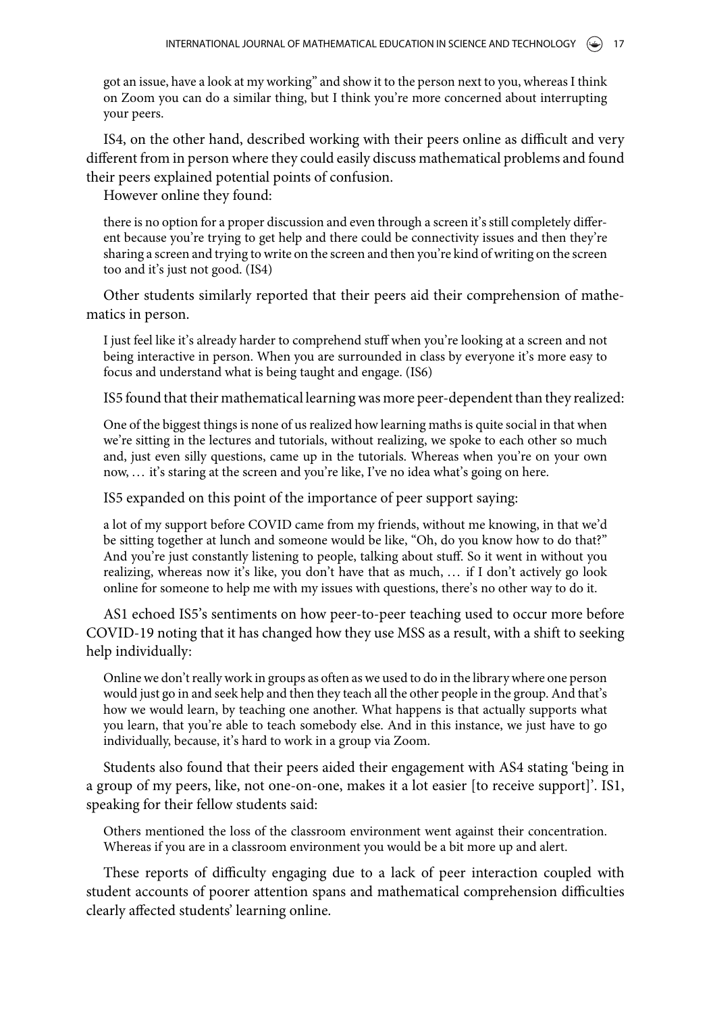got an issue, have a look at my working" and show it to the person next to you, whereas I think on Zoom you can do a similar thing, but I think you're more concerned about interrupting your peers.

IS4, on the other hand, described working with their peers online as difficult and very different from in person where they could easily discuss mathematical problems and found their peers explained potential points of confusion.

However online they found:

there is no option for a proper discussion and even through a screen it's still completely different because you're trying to get help and there could be connectivity issues and then they're sharing a screen and trying to write on the screen and then you're kind of writing on the screen too and it's just not good. (IS4)

Other students similarly reported that their peers aid their comprehension of mathematics in person.

I just feel like it's already harder to comprehend stuff when you're looking at a screen and not being interactive in person. When you are surrounded in class by everyone it's more easy to focus and understand what is being taught and engage. (IS6)

IS5 found that their mathematical learning was more peer-dependent than they realized:

One of the biggest things is none of us realized how learning maths is quite social in that when we're sitting in the lectures and tutorials, without realizing, we spoke to each other so much and, just even silly questions, came up in the tutorials. Whereas when you're on your own now, ... it's staring at the screen and you're like, I've no idea what's going on here.

IS5 expanded on this point of the importance of peer support saying:

a lot of my support before COVID came from my friends, without me knowing, in that we'd be sitting together at lunch and someone would be like, "Oh, do you know how to do that?" And you're just constantly listening to people, talking about stuff. So it went in without you realizing, whereas now it's like, you don't have that as much, ... if I don't actively go look online for someone to help me with my issues with questions, there's no other way to do it.

AS1 echoed IS5's sentiments on how peer-to-peer teaching used to occur more before COVID-19 noting that it has changed how they use MSS as a result, with a shift to seeking help individually:

Online we don't really work in groups as often as we used to do in the library where one person would just go in and seek help and then they teach all the other people in the group. And that's how we would learn, by teaching one another. What happens is that actually supports what you learn, that you're able to teach somebody else. And in this instance, we just have to go individually, because, it's hard to work in a group via Zoom.

Students also found that their peers aided their engagement with AS4 stating 'being in a group of my peers, like, not one-on-one, makes it a lot easier [to receive support]'. IS1, speaking for their fellow students said:

Others mentioned the loss of the classroom environment went against their concentration. Whereas if you are in a classroom environment you would be a bit more up and alert.

These reports of difficulty engaging due to a lack of peer interaction coupled with student accounts of poorer attention spans and mathematical comprehension difficulties clearly affected students' learning online.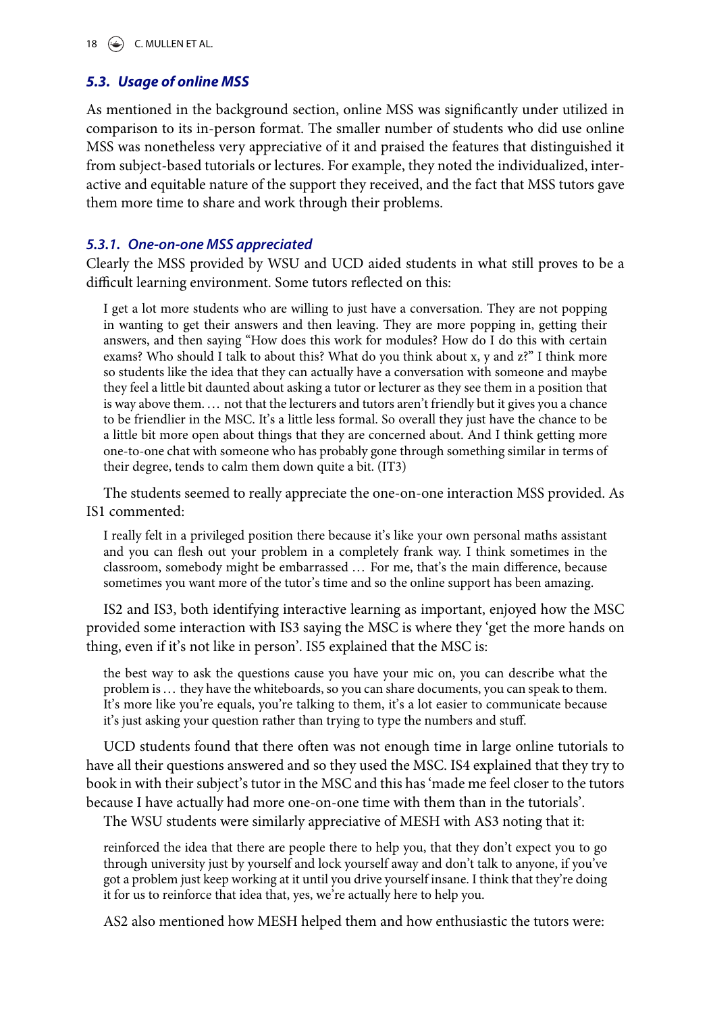18  $\left(\bigstar\right)$  C. MULLEN ET AL.

# *5.3. Usage of online MSS*

As mentioned in the background section, online MSS was significantly under utilized in comparison to its in-person format. The smaller number of students who did use online MSS was nonetheless very appreciative of it and praised the features that distinguished it from subject-based tutorials or lectures. For example, they noted the individualized, interactive and equitable nature of the support they received, and the fact that MSS tutors gave them more time to share and work through their problems.

# *5.3.1. One-on-one MSS appreciated*

Clearly the MSS provided by WSU and UCD aided students in what still proves to be a difficult learning environment. Some tutors reflected on this:

I get a lot more students who are willing to just have a conversation. They are not popping in wanting to get their answers and then leaving. They are more popping in, getting their answers, and then saying "How does this work for modules? How do I do this with certain exams? Who should I talk to about this? What do you think about x, y and z?" I think more so students like the idea that they can actually have a conversation with someone and maybe they feel a little bit daunted about asking a tutor or lecturer as they see them in a position that is way above them. ... not that the lecturers and tutors aren't friendly but it gives you a chance to be friendlier in the MSC. It's a little less formal. So overall they just have the chance to be a little bit more open about things that they are concerned about. And I think getting more one-to-one chat with someone who has probably gone through something similar in terms of their degree, tends to calm them down quite a bit. (IT3)

The students seemed to really appreciate the one-on-one interaction MSS provided. As IS1 commented:

I really felt in a privileged position there because it's like your own personal maths assistant and you can flesh out your problem in a completely frank way. I think sometimes in the classroom, somebody might be embarrassed . . . For me, that's the main difference, because sometimes you want more of the tutor's time and so the online support has been amazing.

IS2 and IS3, both identifying interactive learning as important, enjoyed how the MSC provided some interaction with IS3 saying the MSC is where they 'get the more hands on thing, even if it's not like in person'. IS5 explained that the MSC is:

the best way to ask the questions cause you have your mic on, you can describe what the problem is ... they have the whiteboards, so you can share documents, you can speak to them. It's more like you're equals, you're talking to them, it's a lot easier to communicate because it's just asking your question rather than trying to type the numbers and stuff.

UCD students found that there often was not enough time in large online tutorials to have all their questions answered and so they used the MSC. IS4 explained that they try to book in with their subject's tutor in the MSC and this has 'made me feel closer to the tutors because I have actually had more one-on-one time with them than in the tutorials'.

The WSU students were similarly appreciative of MESH with AS3 noting that it:

reinforced the idea that there are people there to help you, that they don't expect you to go through university just by yourself and lock yourself away and don't talk to anyone, if you've got a problem just keep working at it until you drive yourself insane. I think that they're doing it for us to reinforce that idea that, yes, we're actually here to help you.

AS2 also mentioned how MESH helped them and how enthusiastic the tutors were: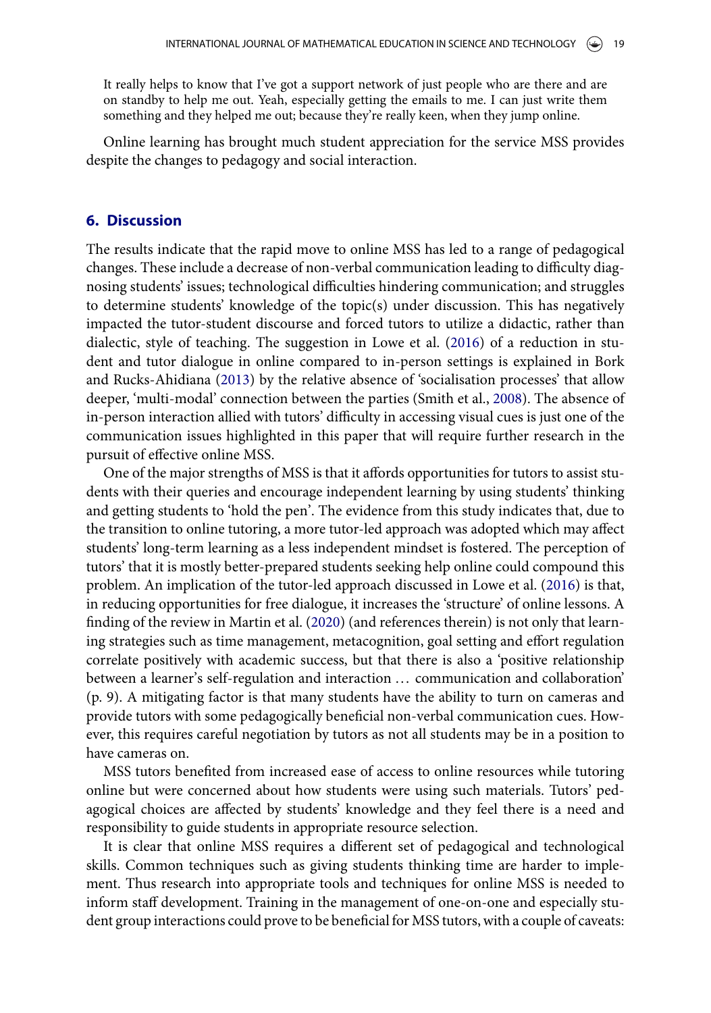It really helps to know that I've got a support network of just people who are there and are on standby to help me out. Yeah, especially getting the emails to me. I can just write them something and they helped me out; because they're really keen, when they jump online.

Online learning has brought much student appreciation for the service MSS provides despite the changes to pedagogy and social interaction.

### **6. Discussion**

The results indicate that the rapid move to online MSS has led to a range of pedagogical changes. These include a decrease of non-verbal communication leading to difficulty diagnosing students' issues; technological difficulties hindering communication; and struggles to determine students' knowledge of the topic(s) under discussion. This has negatively impacted the tutor-student discourse and forced tutors to utilize a didactic, rather than dialectic, style of teaching. The suggestion in Lowe et al. [\(2016\)](#page-25-9) of a reduction in student and tutor dialogue in online compared to in-person settings is explained in Bork and Rucks-Ahidiana [\(2013\)](#page-23-8) by the relative absence of 'socialisation processes' that allow deeper, 'multi-modal' connection between the parties (Smith et al., [2008\)](#page-26-6). The absence of in-person interaction allied with tutors' difficulty in accessing visual cues is just one of the communication issues highlighted in this paper that will require further research in the pursuit of effective online MSS.

One of the major strengths of MSS is that it affords opportunities for tutors to assist students with their queries and encourage independent learning by using students' thinking and getting students to 'hold the pen'. The evidence from this study indicates that, due to the transition to online tutoring, a more tutor-led approach was adopted which may affect students' long-term learning as a less independent mindset is fostered. The perception of tutors' that it is mostly better-prepared students seeking help online could compound this problem. An implication of the tutor-led approach discussed in Lowe et al. [\(2016\)](#page-25-9) is that, in reducing opportunities for free dialogue, it increases the 'structure' of online lessons. A finding of the review in Martin et al. [\(2020\)](#page-25-12) (and references therein) is not only that learning strategies such as time management, metacognition, goal setting and effort regulation correlate positively with academic success, but that there is also a 'positive relationship between a learner's self-regulation and interaction ... communication and collaboration' (p. 9). A mitigating factor is that many students have the ability to turn on cameras and provide tutors with some pedagogically beneficial non-verbal communication cues. However, this requires careful negotiation by tutors as not all students may be in a position to have cameras on.

MSS tutors benefited from increased ease of access to online resources while tutoring online but were concerned about how students were using such materials. Tutors' pedagogical choices are affected by students' knowledge and they feel there is a need and responsibility to guide students in appropriate resource selection.

It is clear that online MSS requires a different set of pedagogical and technological skills. Common techniques such as giving students thinking time are harder to implement. Thus research into appropriate tools and techniques for online MSS is needed to inform staff development. Training in the management of one-on-one and especially student group interactions could prove to be beneficial for MSS tutors, with a couple of caveats: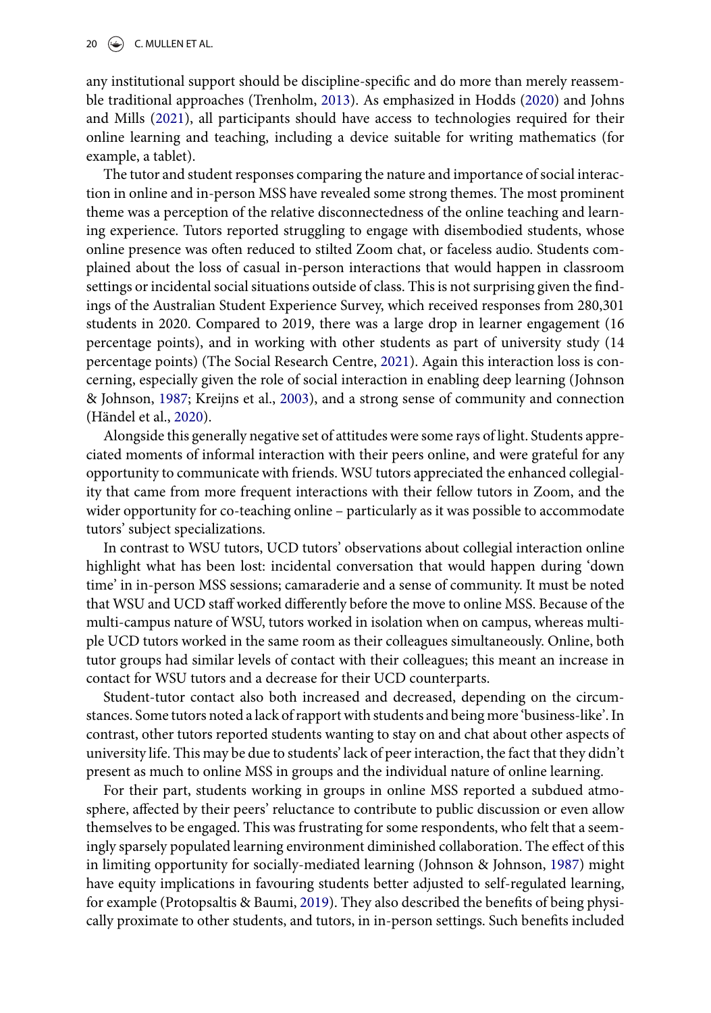any institutional support should be discipline-specific and do more than merely reassemble traditional approaches (Trenholm, [2013\)](#page-26-5). As emphasized in Hodds [\(2020\)](#page-24-7) and Johns and Mills [\(2021\)](#page-24-4), all participants should have access to technologies required for their online learning and teaching, including a device suitable for writing mathematics (for example, a tablet).

The tutor and student responses comparing the nature and importance of social interaction in online and in-person MSS have revealed some strong themes. The most prominent theme was a perception of the relative disconnectedness of the online teaching and learning experience. Tutors reported struggling to engage with disembodied students, whose online presence was often reduced to stilted Zoom chat, or faceless audio. Students complained about the loss of casual in-person interactions that would happen in classroom settings or incidental social situations outside of class. This is not surprising given the findings of the Australian Student Experience Survey, which received responses from 280,301 students in 2020. Compared to 2019, there was a large drop in learner engagement (16 percentage points), and in working with other students as part of university study (14 percentage points) (The Social Research Centre, [2021\)](#page-26-16). Again this interaction loss is concerning, especially given the role of social interaction in enabling deep learning (Johnson & Johnson, [1987;](#page-24-15) Kreijns et al., [2003\)](#page-24-14), and a strong sense of community and connection (Händel et al., [2020\)](#page-24-16).

<span id="page-20-0"></span>Alongside this generally negative set of attitudes were some rays of light. Students appreciated moments of informal interaction with their peers online, and were grateful for any opportunity to communicate with friends. WSU tutors appreciated the enhanced collegiality that came from more frequent interactions with their fellow tutors in Zoom, and the wider opportunity for co-teaching online – particularly as it was possible to accommodate tutors' subject specializations.

In contrast to WSU tutors, UCD tutors' observations about collegial interaction online highlight what has been lost: incidental conversation that would happen during 'down time' in in-person MSS sessions; camaraderie and a sense of community. It must be noted that WSU and UCD staff worked differently before the move to online MSS. Because of the multi-campus nature of WSU, tutors worked in isolation when on campus, whereas multiple UCD tutors worked in the same room as their colleagues simultaneously. Online, both tutor groups had similar levels of contact with their colleagues; this meant an increase in contact for WSU tutors and a decrease for their UCD counterparts.

Student-tutor contact also both increased and decreased, depending on the circumstances. Some tutors noted a lack of rapport with students and being more 'business-like'. In contrast, other tutors reported students wanting to stay on and chat about other aspects of university life. This may be due to students' lack of peer interaction, the fact that they didn't present as much to online MSS in groups and the individual nature of online learning.

For their part, students working in groups in online MSS reported a subdued atmosphere, affected by their peers' reluctance to contribute to public discussion or even allow themselves to be engaged. This was frustrating for some respondents, who felt that a seemingly sparsely populated learning environment diminished collaboration. The effect of this in limiting opportunity for socially-mediated learning (Johnson & Johnson, [1987\)](#page-24-15) might have equity implications in favouring students better adjusted to self-regulated learning, for example (Protopsaltis & Baumi, [2019\)](#page-26-9). They also described the benefits of being physically proximate to other students, and tutors, in in-person settings. Such benefits included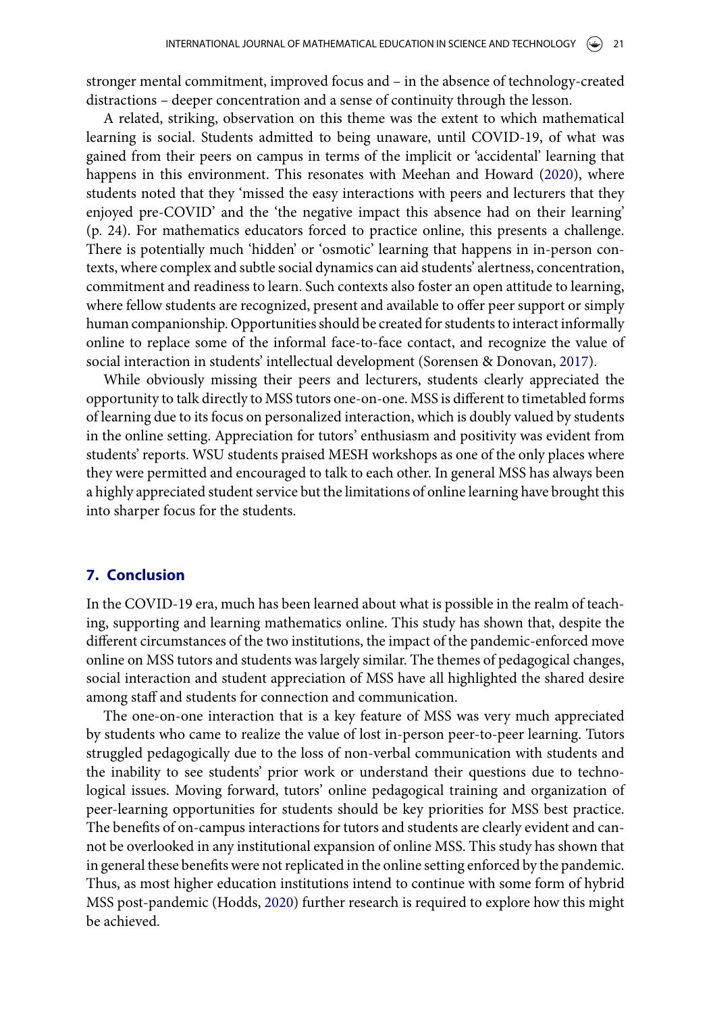stronger mental commitment, improved focus and – in the absence of technology-created distractions – deeper concentration and a sense of continuity through the lesson.

A related, striking, observation on this theme was the extent to which mathematical learning is social. Students admitted to being unaware, until COVID-19, of what was gained from their peers on campus in terms of the implicit or 'accidental' learning that happens in this environment. This resonates with Meehan and Howard [\(2020\)](#page-25-13), where students noted that they 'missed the easy interactions with peers and lecturers that they enjoyed pre-COVID' and the 'the negative impact this absence had on their learning' (p. 24). For mathematics educators forced to practice online, this presents a challenge. There is potentially much 'hidden' or 'osmotic' learning that happens in in-person contexts, where complex and subtle social dynamics can aid students' alertness, concentration, commitment and readiness to learn. Such contexts also foster an open attitude to learning, where fellow students are recognized, present and available to offer peer support or simply human companionship. Opportunities should be created for students to interact informally online to replace some of the informal face-to-face contact, and recognize the value of social interaction in students' intellectual development (Sorensen & Donovan, [2017\)](#page-26-14).

While obviously missing their peers and lecturers, students clearly appreciated the opportunity to talk directly to MSS tutors one-on-one. MSS is different to timetabled forms of learning due to its focus on personalized interaction, which is doubly valued by students in the online setting. Appreciation for tutors' enthusiasm and positivity was evident from students' reports. WSU students praised MESH workshops as one of the only places where they were permitted and encouraged to talk to each other. In general MSS has always been a highly appreciated student service but the limitations of online learning have brought this into sharper focus for the students.

# **7. Conclusion**

In the COVID-19 era, much has been learned about what is possible in the realm of teaching, supporting and learning mathematics online. This study has shown that, despite the different circumstances of the two institutions, the impact of the pandemic-enforced move online on MSS tutors and students was largely similar. The themes of pedagogical changes, social interaction and student appreciation of MSS have all highlighted the shared desire among staff and students for connection and communication.

The one-on-one interaction that is a key feature of MSS was very much appreciated by students who came to realize the value of lost in-person peer-to-peer learning. Tutors struggled pedagogically due to the loss of non-verbal communication with students and the inability to see students' prior work or understand their questions due to technological issues. Moving forward, tutors' online pedagogical training and organization of peer-learning opportunities for students should be key priorities for MSS best practice. The benefits of on-campus interactions for tutors and students are clearly evident and cannot be overlooked in any institutional expansion of online MSS. This study has shown that in general these benefits were not replicated in the online setting enforced by the pandemic. Thus, as most higher education institutions intend to continue with some form of hybrid MSS post-pandemic (Hodds, [2020\)](#page-24-7) further research is required to explore how this might be achieved.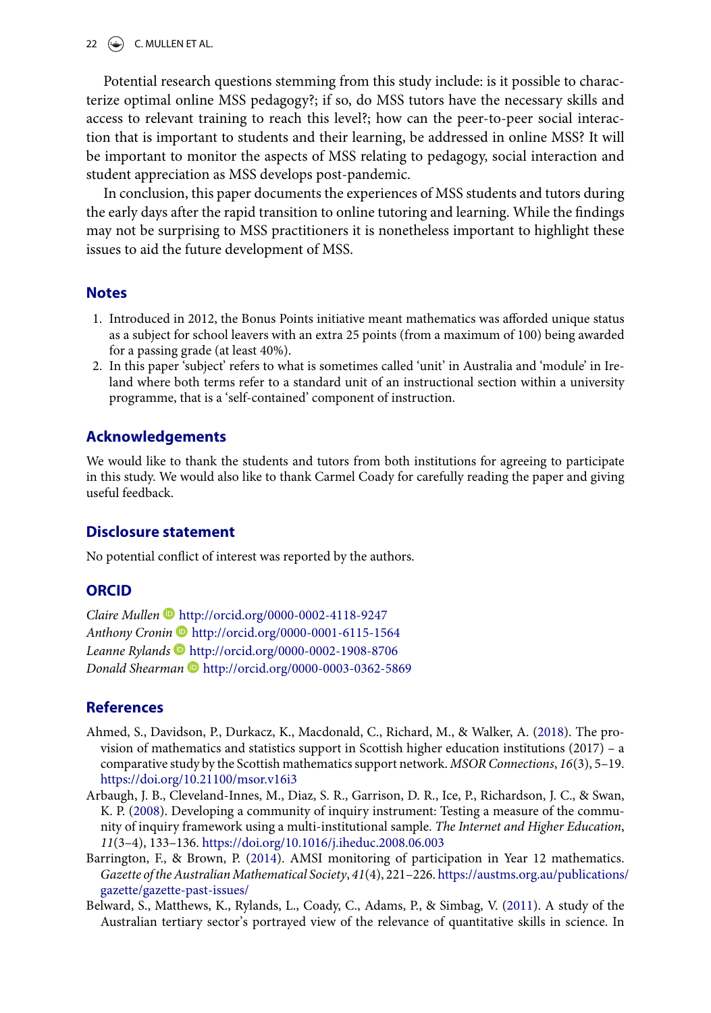22  $\left(\bigstar\right)$  C. MULLEN ET AL.

Potential research questions stemming from this study include: is it possible to characterize optimal online MSS pedagogy?; if so, do MSS tutors have the necessary skills and access to relevant training to reach this level?; how can the peer-to-peer social interaction that is important to students and their learning, be addressed in online MSS? It will be important to monitor the aspects of MSS relating to pedagogy, social interaction and student appreciation as MSS develops post-pandemic.

In conclusion, this paper documents the experiences of MSS students and tutors during the early days after the rapid transition to online tutoring and learning. While the findings may not be surprising to MSS practitioners it is nonetheless important to highlight these issues to aid the future development of MSS.

# **Notes**

- <span id="page-22-2"></span>[1. I](#page-2-0)ntroduced in 2012, the Bonus Points initiative meant mathematics was afforded unique status as a subject for school leavers with an extra 25 points (from a maximum of 100) being awarded for a passing grade (at least 40%).
- <span id="page-22-5"></span>[2. I](#page-6-0)n this paper 'subject' refers to what is sometimes called 'unit' in Australia and 'module' in Ireland where both terms refer to a standard unit of an instructional section within a university programme, that is a 'self-contained' component of instruction.

# **Acknowledgements**

We would like to thank the students and tutors from both institutions for agreeing to participate in this study. We would also like to thank Carmel Coady for carefully reading the paper and giving useful feedback.

# **Disclosure statement**

No potential conflict of interest was reported by the authors.

# **ORCID**

*Claire Mullen* <http://orcid.org/0000-0002-4118-9247> Anthony Cronin<sup>®</sup> <http://orcid.org/0000-0001-6115-1564> *Leanne Rylands* <http://orcid.org/0000-0002-1908-8706> *Donald Shearman* <http://orcid.org/0000-0003-0362-5869>

# **References**

- <span id="page-22-3"></span>Ahmed, S., Davidson, P., Durkacz, K., Macdonald, C., Richard, M., & Walker, A. [\(2018\)](#page-3-0). The provision of mathematics and statistics support in Scottish higher education institutions (2017) – a comparative study by the Scottish mathematics support network. *MSOR Connections*, *16*(3), 5–19. <https://doi.org/10.21100/msor.v16i3>
- <span id="page-22-4"></span>Arbaugh, J. B., Cleveland-Innes, M., Diaz, S. R., Garrison, D. R., Ice, P., Richardson, J. C., & Swan, K. P. [\(2008\)](#page-5-0). Developing a community of inquiry instrument: Testing a measure of the community of inquiry framework using a multi-institutional sample. *The Internet and Higher Education*, *11*(3–4), 133–136. <https://doi.org/10.1016/j.iheduc.2008.06.003>
- <span id="page-22-0"></span>Barrington, F., & Brown, P. [\(2014\)](#page-2-1). AMSI monitoring of participation in Year 12 mathematics. *[Gazette of the Australian Mathematical Society](https://austms.org.au/publications/gazette/gazette-past-issues/)*, *41*(4), 221–226. https://austms.org.au/publications/ gazette/gazette-past-issues/
- <span id="page-22-1"></span>Belward, S., Matthews, K., Rylands, L., Coady, C., Adams, P., & Simbag, V. [\(2011\)](#page-2-2). A study of the Australian tertiary sector's portrayed view of the relevance of quantitative skills in science. In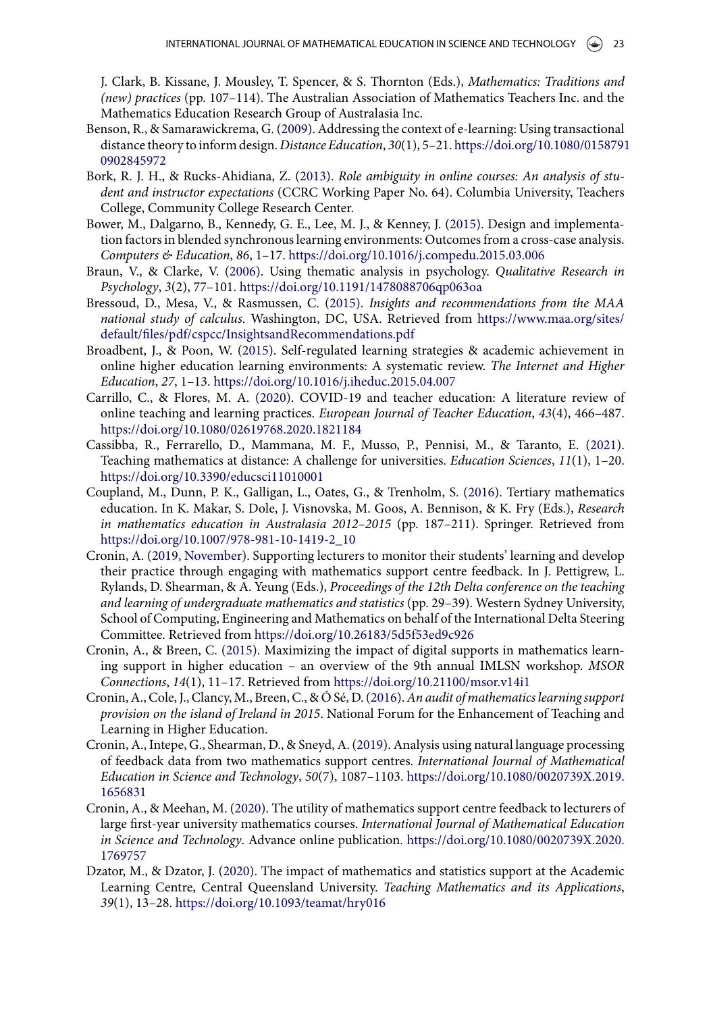J. Clark, B. Kissane, J. Mousley, T. Spencer, & S. Thornton (Eds.), *Mathematics: Traditions and (new) practices* (pp. 107–114). The Australian Association of Mathematics Teachers Inc. and the Mathematics Education Research Group of Australasia Inc.

- <span id="page-23-13"></span>Benson, R., & Samarawickrema, G. [\(2009\)](#page-5-1). Addressing the context of e-learning: Using transactional [distance theory to inform design.](https://doi.org/10.1080/01587910902845972) *Distance Education*, *30*(1), 5–21. https://doi.org/10.1080/0158791 0902845972
- <span id="page-23-8"></span>Bork, R. J. H., & Rucks-Ahidiana, Z. [\(2013\)](#page-4-0). *Role ambiguity in online courses: An analysis of student and instructor expectations* (CCRC Working Paper No. 64). Columbia University, Teachers College, Community College Research Center.
- <span id="page-23-11"></span>Bower, M., Dalgarno, B., Kennedy, G. E., Lee, M. J., & Kenney, J. [\(2015\)](#page-5-2). Design and implementation factors in blended synchronous learning environments: Outcomes from a cross-case analysis. *Computers & Education*, *86*, 1–17. <https://doi.org/10.1016/j.compedu.2015.03.006>
- <span id="page-23-14"></span>Braun, V., & Clarke, V. [\(2006\)](#page-8-1). Using thematic analysis in psychology. *Qualitative Research in Psychology*, *3*(2), 77–101. <https://doi.org/10.1191/1478088706qp063oa>
- <span id="page-23-1"></span>Bressoud, D., Mesa, V., & Rasmussen, C. [\(2015\)](#page-3-1). *Insights and recommendations from the MAA national study of calculus*. Washington, DC, USA. Retrieved from https://www.maa.org/sites/ [default/files/pdf/cspcc/InsightsandRecommendations.pdf](https://www.maa.org/sites/default/files/pdf/cspcc/InsightsandRecommendations.pdf)
- <span id="page-23-9"></span>Broadbent, J., & Poon, W. [\(2015\)](#page-4-1). Self-regulated learning strategies & academic achievement in online higher education learning environments: A systematic review. *The Internet and Higher Education*, *27*, 1–13. <https://doi.org/10.1016/j.iheduc.2015.04.007>
- <span id="page-23-7"></span>Carrillo, C., & Flores, M. A. [\(2020\)](#page-4-2). COVID-19 and teacher education: A literature review of online teaching and learning practices. *European Journal of Teacher Education*, *43*(4), 466–487. <https://doi.org/10.1080/02619768.2020.1821184>
- <span id="page-23-12"></span>Cassibba, R., Ferrarello, D., Mammana, M. F., Musso, P., Pennisi, M., & Taranto, E. [\(2021\)](#page-5-3). Teaching mathematics at distance: A challenge for universities. *Education Sciences*, *11*(1), 1–20. <https://doi.org/10.3390/educsci11010001>
- <span id="page-23-10"></span>Coupland, M., Dunn, P. K., Galligan, L., Oates, G., & Trenholm, S. [\(2016\)](#page-4-3). Tertiary mathematics education. In K. Makar, S. Dole, J. Visnovska, M. Goos, A. Bennison, & K. Fry (Eds.), *Research in mathematics education in Australasia 2012–2015* (pp. 187–211). Springer. Retrieved from [https://doi.org/10.1007/978-981-10-1419-2\\_10](https://doi.org/10.1007/978-981-10-1419-2_10)
- <span id="page-23-2"></span>Cronin, A. [\(2019, November\)](#page-3-2). Supporting lecturers to monitor their students' learning and develop their practice through engaging with mathematics support centre feedback. In J. Pettigrew, L. Rylands, D. Shearman, & A. Yeung (Eds.), *Proceedings of the 12th Delta conference on the teaching and learning of undergraduate mathematics and statistics* (pp. 29–39). Western Sydney University, School of Computing, Engineering and Mathematics on behalf of the International Delta Steering Committee. Retrieved from <https://doi.org/10.26183/5d5f53ed9c926>
- <span id="page-23-5"></span>Cronin, A., & Breen, C. [\(2015\)](#page-3-3). Maximizing the impact of digital supports in mathematics learning support in higher education – an overview of the 9th annual IMLSN workshop. *MSOR Connections*, *14*(1), 11–17. Retrieved from <https://doi.org/10.21100/msor.v14i1>
- <span id="page-23-0"></span>Cronin, A., Cole, J., Clancy, M., Breen, C., & Ó Sé, D. [\(2016\)](#page-2-3).*An audit of mathematics learning support provision on the island of Ireland in 2015*. National Forum for the Enhancement of Teaching and Learning in Higher Education.
- <span id="page-23-3"></span>Cronin, A., Intepe, G., Shearman, D., & Sneyd, A. [\(2019\)](#page-3-4). Analysis using natural language processing of feedback data from two mathematics support centres. *International Journal of Mathematical Education in Science and Technology*, *50*(7), 1087–1103. [https://doi.org/10.1080/0020739X.2019.](https://doi.org/10.1080/0020739X.2019.1656831) 1656831
- <span id="page-23-4"></span>Cronin, A., & Meehan, M. [\(2020\)](#page-3-5). The utility of mathematics support centre feedback to lecturers of large first-year university mathematics courses. *International Journal of Mathematical Education in Science and Technology*. Advance online publication. [https://doi.org/10.1080/0020739X.2020.](https://doi.org/10.1080/0020739X.2020.1769757) 1769757
- <span id="page-23-6"></span>Dzator, M., & Dzator, J. [\(2020\)](#page-3-6). The impact of mathematics and statistics support at the Academic Learning Centre, Central Queensland University. *Teaching Mathematics and its Applications*, *39*(1), 13–28. <https://doi.org/10.1093/teamat/hry016>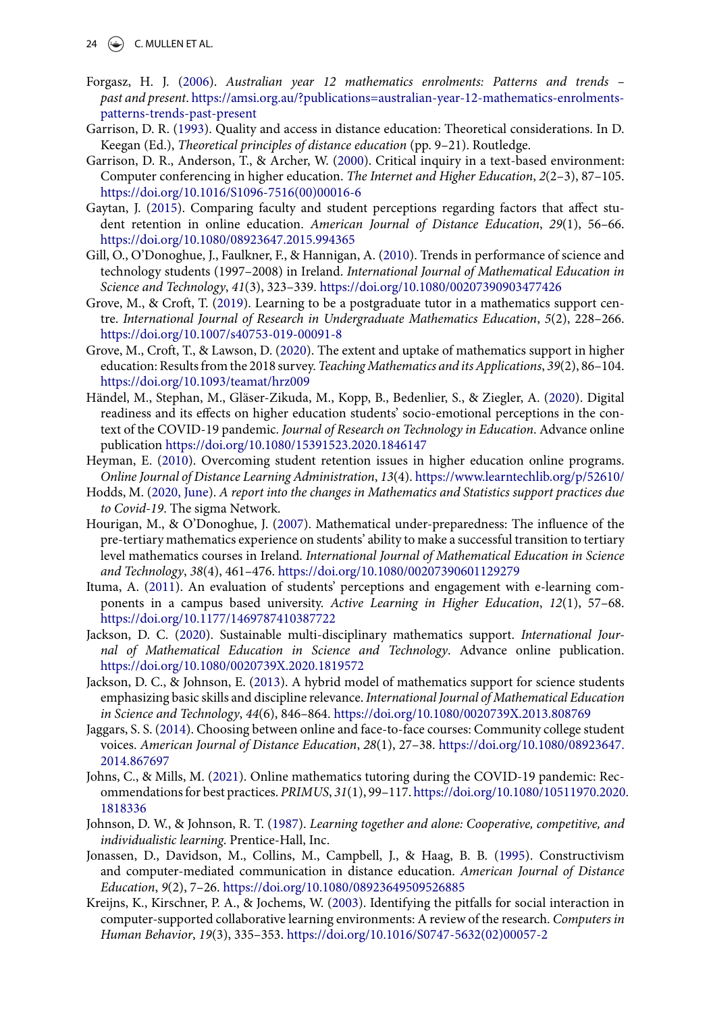24  $\left(\bigcirc\right)$  C. MULLEN ET AL.

- <span id="page-24-1"></span>Forgasz, H. J. [\(2006\)](#page-2-4). *Australian year 12 mathematics enrolments: Patterns and trends – past and present*. [https://amsi.org.au/?publications=australian-year-12-mathematics-enrolments](https://amsi.org.au/?publications=australian-year-12-mathematics-enrolments-patterns-trends-past-present)patterns-trends-past-present
- <span id="page-24-12"></span>Garrison, D. R. [\(1993\)](#page-5-4). Quality and access in distance education: Theoretical considerations. In D. Keegan (Ed.), *Theoretical principles of distance education* (pp. 9–21). Routledge.
- <span id="page-24-18"></span>Garrison, D. R., Anderson, T., & Archer, W. [\(2000\)](#page-6-1). Critical inquiry in a text-based environment: Computer conferencing in higher education. *The Internet and Higher Education*, *2*(2–3), 87–105. [https://doi.org/10.1016/S1096-7516\(00\)00016-6](https://doi.org/10.1016/S1096-7516(00)00016-6)
- <span id="page-24-8"></span>Gaytan, J. [\(2015\)](#page-4-4). Comparing faculty and student perceptions regarding factors that affect student retention in online education. *American Journal of Distance Education*, *29*(1), 56–66. <https://doi.org/10.1080/08923647.2015.994365>
- <span id="page-24-2"></span>Gill, O., O'Donoghue, J., Faulkner, F., & Hannigan, A. [\(2010\)](#page-2-5). Trends in performance of science and technology students (1997–2008) in Ireland. *International Journal of Mathematical Education in Science and Technology*, *41*(3), 323–339. <https://doi.org/10.1080/00207390903477426>
- <span id="page-24-17"></span>Grove, M., & Croft, T. [\(2019\)](#page-5-5). Learning to be a postgraduate tutor in a mathematics support centre. *International Journal of Research in Undergraduate Mathematics Education*, *5*(2), 228–266. <https://doi.org/10.1007/s40753-019-00091-8>
- <span id="page-24-0"></span>Grove, M., Croft, T., & Lawson, D. [\(2020\)](#page-2-6). The extent and uptake of mathematics support in higher education: Results from the 2018 survey. *Teaching Mathematics and its Applications*, *39*(2), 86–104. <https://doi.org/10.1093/teamat/hrz009>
- <span id="page-24-16"></span>Händel, M., Stephan, M., Gläser-Zikuda, M., Kopp, B., Bedenlier, S., & Ziegler, A. [\(2020\)](#page-5-6). Digital readiness and its effects on higher education students' socio-emotional perceptions in the context of the COVID-19 pandemic. *Journal of Research on Technology in Education*. Advance online publication <https://doi.org/10.1080/15391523.2020.1846147>
- <span id="page-24-9"></span>Heyman, E. [\(2010\)](#page-4-5). Overcoming student retention issues in higher education online programs. *Online Journal of Distance Learning Administration*, *13*(4). <https://www.learntechlib.org/p/52610/>
- <span id="page-24-7"></span>Hodds, M. [\(2020, June\)](#page-3-7). *A report into the changes in Mathematics and Statistics support practices due to Covid-19*. The sigma Network.
- <span id="page-24-3"></span>Hourigan, M., & O'Donoghue, J. [\(2007\)](#page-2-7). Mathematical under-preparedness: The influence of the pre-tertiary mathematics experience on students' ability to make a successful transition to tertiary level mathematics courses in Ireland. *International Journal of Mathematical Education in Science and Technology*, *38*(4), 461–476. <https://doi.org/10.1080/00207390601129279>
- <span id="page-24-10"></span>Ituma, A. [\(2011\)](#page-4-6). An evaluation of students' perceptions and engagement with e-learning components in a campus based university. *Active Learning in Higher Education*, *12*(1), 57–68. <https://doi.org/10.1177/1469787410387722>
- <span id="page-24-5"></span>Jackson, D. C. [\(2020\)](#page-3-8). Sustainable multi-disciplinary mathematics support. *International Journal of Mathematical Education in Science and Technology*. Advance online publication. <https://doi.org/10.1080/0020739X.2020.1819572>
- <span id="page-24-6"></span>Jackson, D. C., & Johnson, E. [\(2013\)](#page-3-9). A hybrid model of mathematics support for science students emphasizing basic skills and discipline relevance. *International Journal of Mathematical Education in Science and Technology*, *44*(6), 846–864. <https://doi.org/10.1080/0020739X.2013.808769>
- <span id="page-24-11"></span>Jaggars, S. S. [\(2014\)](#page-4-7). Choosing between online and face-to-face courses: Community college student voices. *[American Journal of Distance Education](https://doi.org/10.1080/08923647.2014.867697)*, *28*(1), 27–38. https://doi.org/10.1080/08923647. 2014.867697
- <span id="page-24-4"></span>Johns, C., & Mills, M. [\(2021\)](#page-3-10). Online mathematics tutoring during the COVID-19 pandemic: Recommendations for best practices. *PRIMUS*, *31*(1), 99–117. [https://doi.org/10.1080/10511970.2020.](https://doi.org/10.1080/10511970.2020.1818336) 1818336
- <span id="page-24-15"></span>Johnson, D. W., & Johnson, R. T. [\(1987\)](#page-5-7). *Learning together and alone: Cooperative, competitive, and individualistic learning*. Prentice-Hall, Inc.
- <span id="page-24-13"></span>Jonassen, D., Davidson, M., Collins, M., Campbell, J., & Haag, B. B. [\(1995\)](#page-5-8). Constructivism and computer-mediated communication in distance education. *American Journal of Distance Education*, *9*(2), 7–26. <https://doi.org/10.1080/08923649509526885>
- <span id="page-24-14"></span>Kreijns, K., Kirschner, P. A., & Jochems, W. [\(2003\)](#page-5-9). Identifying the pitfalls for social interaction in computer-supported collaborative learning environments: A review of the research. *Computers in Human Behavior*, *19*(3), 335–353. [https://doi.org/10.1016/S0747-5632\(02\)00057-2](https://doi.org/10.1016/S0747-5632(02)00057-2)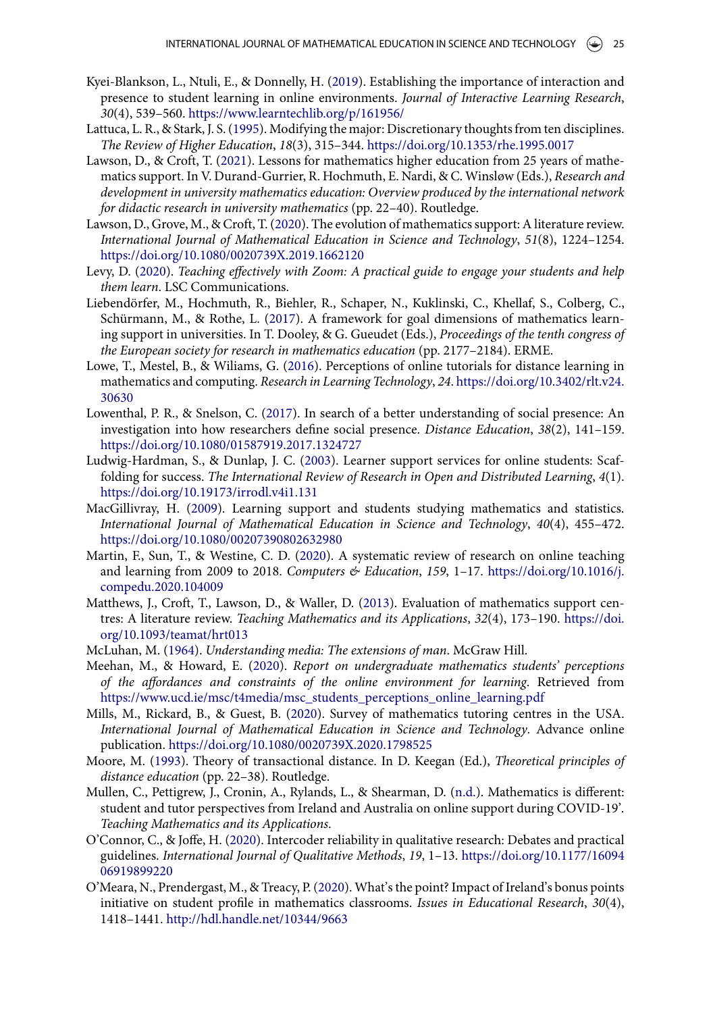- <span id="page-25-15"></span>Kyei-Blankson, L., Ntuli, E., & Donnelly, H. [\(2019\)](#page-5-10). Establishing the importance of interaction and presence to student learning in online environments. *Journal of Interactive Learning Research*, *30*(4), 539–560. <https://www.learntechlib.org/p/161956/>
- <span id="page-25-8"></span>Lattuca, L. R., & Stark, J. S. [\(1995\)](#page-4-8). Modifying the major: Discretionary thoughts from ten disciplines. *The Review of Higher Education*, *18*(3), 315–344. <https://doi.org/10.1353/rhe.1995.0017>
- <span id="page-25-3"></span>Lawson, D., & Croft, T. [\(2021\)](#page-2-8). Lessons for mathematics higher education from 25 years of mathematics support. In V. Durand-Gurrier, R. Hochmuth, E. Nardi, & C. Winsløw (Eds.), *Research and development in university mathematics education: Overview produced by the international network for didactic research in university mathematics* (pp. 22–40). Routledge.
- <span id="page-25-0"></span>Lawson, D., Grove, M., & Croft, T. [\(2020\)](#page-2-9). The evolution of mathematics support: A literature review. *International Journal of Mathematical Education in Science and Technology*, *51*(8), 1224–1254. <https://doi.org/10.1080/0020739X.2019.1662120>
- <span id="page-25-10"></span>Levy, D. [\(2020\)](#page-4-9). *Teaching effectively with Zoom: A practical guide to engage your students and help them learn*. LSC Communications.
- <span id="page-25-4"></span>Liebendörfer, M., Hochmuth, R., Biehler, R., Schaper, N., Kuklinski, C., Khellaf, S., Colberg, C., Schürmann, M., & Rothe, L. [\(2017\)](#page-2-10). A framework for goal dimensions of mathematics learning support in universities. In T. Dooley, & G. Gueudet (Eds.), *Proceedings of the tenth congress of the European society for research in mathematics education* (pp. 2177–2184). ERME.
- <span id="page-25-9"></span>Lowe, T., Mestel, B., & Wiliams, G. [\(2016\)](#page-4-10). Perceptions of online tutorials for distance learning in mathematics and computing. *[Research in Learning Technology](https://doi.org/10.3402/rlt.v24.30630)*, *24*. https://doi.org/10.3402/rlt.v24. 30630
- <span id="page-25-17"></span>Lowenthal, P. R., & Snelson, C. [\(2017\)](#page-6-2). In search of a better understanding of social presence: An investigation into how researchers define social presence. *Distance Education*, *38*(2), 141–159. <https://doi.org/10.1080/01587919.2017.1324727>
- <span id="page-25-11"></span>Ludwig-Hardman, S., & Dunlap, J. C. [\(2003\)](#page-4-11). Learner support services for online students: Scaffolding for success. *The International Review of Research in Open and Distributed Learning*, *4*(1). <https://doi.org/10.19173/irrodl.v4i1.131>
- <span id="page-25-1"></span>MacGillivray, H. [\(2009\)](#page-2-11). Learning support and students studying mathematics and statistics. *International Journal of Mathematical Education in Science and Technology*, *40*(4), 455–472. <https://doi.org/10.1080/00207390802632980>
- <span id="page-25-12"></span>Martin, F., Sun, T., & Westine, C. D. [\(2020\)](#page-4-12). A systematic review of research on online teaching [and learning from 2009 to 2018.](https://doi.org/10.1016/j.compedu.2020.104009) *Computers & Education*, *159*, 1–17. https://doi.org/10.1016/j. compedu.2020.104009
- <span id="page-25-6"></span>Matthews, J., Croft, T., Lawson, D., & Waller, D. [\(2013\)](#page-2-12). Evaluation of mathematics support centres: A literature review. *[Teaching Mathematics and its Applications](https://doi.org/10.1093/teamat/hrt013)*, *32*(4), 173–190. https://doi. org/10.1093/teamat/hrt013
- <span id="page-25-14"></span>McLuhan, M. [\(1964\)](#page-5-11). *Understanding media: The extensions of man*. McGraw Hill.
- <span id="page-25-13"></span>Meehan, M., & Howard, E. [\(2020\)](#page-5-12). *Report on undergraduate mathematics students' perceptions of the affordances and constraints of the online environment for learning*. Retrieved from [https://www.ucd.ie/msc/t4media/msc\\_students\\_perceptions\\_online\\_learning.pdf](https://www.ucd.ie/msc/t4media/msc_students_perceptions_online_learning.pdf)
- <span id="page-25-2"></span>Mills, M., Rickard, B., & Guest, B. [\(2020\)](#page-2-13). Survey of mathematics tutoring centres in the USA. *International Journal of Mathematical Education in Science and Technology*. Advance online publication. <https://doi.org/10.1080/0020739X.2020.1798525>
- <span id="page-25-16"></span>Moore, M. [\(1993\)](#page-5-13). Theory of transactional distance. In D. Keegan (Ed.), *Theoretical principles of distance education* (pp. 22–38). Routledge.
- <span id="page-25-7"></span>Mullen, C., Pettigrew, J., Cronin, A., Rylands, L., & Shearman, D. [\(n.d.\)](#page-3-11). Mathematics is different: student and tutor perspectives from Ireland and Australia on online support during COVID-19'. *Teaching Mathematics and its Applications*.
- <span id="page-25-18"></span>O'Connor, C., & Joffe, H. [\(2020\)](#page-8-2). Intercoder reliability in qualitative research: Debates and practical guidelines. *[International Journal of Qualitative Methods](https://doi.org/10.1177/1609406919899220)*, *19*, 1–13. https://doi.org/10.1177/16094 06919899220
- <span id="page-25-5"></span>O'Meara, N., Prendergast, M., & Treacy, P. [\(2020\)](#page-2-14). What's the point? Impact of Ireland's bonus points initiative on student profile in mathematics classrooms. *Issues in Educational Research*, *30*(4), 1418–1441. <http://hdl.handle.net/10344/9663>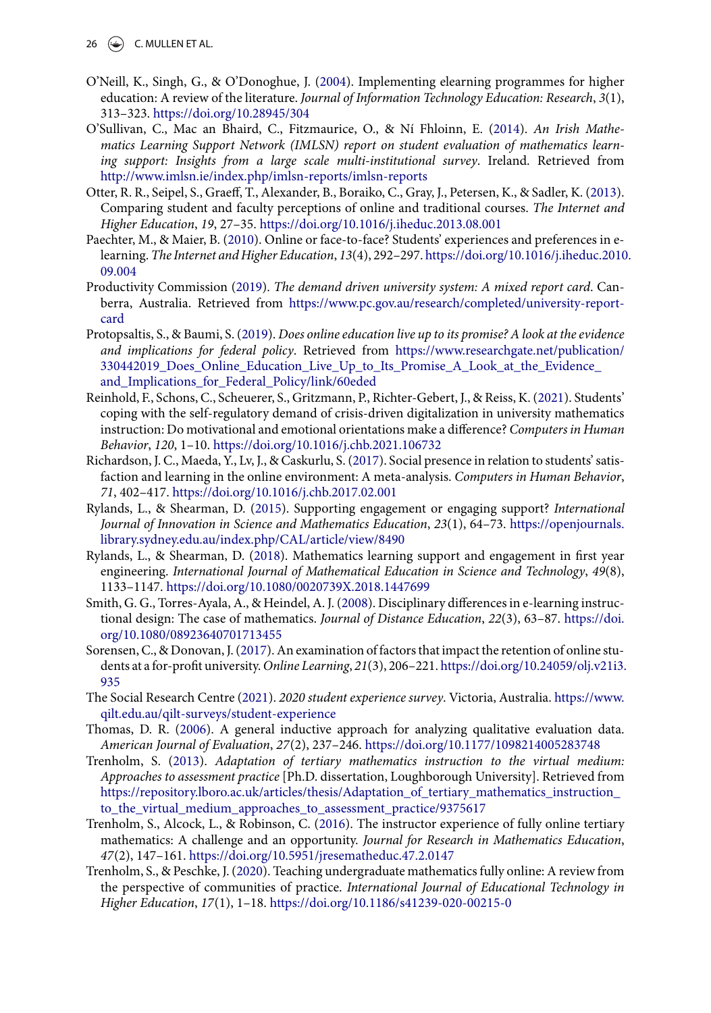26  $\left(\bigcirc\right)$  C. MULLEN ET AL.

- <span id="page-26-8"></span>O'Neill, K., Singh, G., & O'Donoghue, J. [\(2004\)](#page-4-13). Implementing elearning programmes for higher education: A review of the literature. *Journal of Information Technology Education: Research*, *3*(1), 313–323. <https://doi.org/10.28945/304>
- <span id="page-26-0"></span>O'Sullivan, C., Mac an Bhaird, C., Fitzmaurice, O., & Ní Fhloinn, E. [\(2014\)](#page-2-15). *An Irish Mathematics Learning Support Network (IMLSN) report on student evaluation of mathematics learning support: Insights from a large scale multi-institutional survey*. Ireland. Retrieved from <http://www.imlsn.ie/index.php/imlsn-reports/imlsn-reports>
- <span id="page-26-7"></span>Otter, R. R., Seipel, S., Graeff, T., Alexander, B., Boraiko, C., Gray, J., Petersen, K., & Sadler, K. [\(2013\)](#page-4-14). Comparing student and faculty perceptions of online and traditional courses. *The Internet and Higher Education*, *19*, 27–35. <https://doi.org/10.1016/j.iheduc.2013.08.001>
- <span id="page-26-13"></span>Paechter, M., & Maier, B. [\(2010\)](#page-6-3). Online or face-to-face? Students' experiences and preferences in elearning. *The Internet and Higher Education*, *13*(4), 292–297. [https://doi.org/10.1016/j.iheduc.2010.](https://doi.org/10.1016/j.iheduc.2010.09.004) 09.004
- <span id="page-26-1"></span>Productivity Commission [\(2019\)](#page-2-16). *The demand driven university system: A mixed report card*. Canberra, Australia. Retrieved from [https://www.pc.gov.au/research/completed/university-report](https://www.pc.gov.au/research/completed/university-report-card)card
- <span id="page-26-9"></span>Protopsaltis, S., & Baumi, S. [\(2019\)](#page-4-15). *Does online education live up to its promise? A look at the evidence and implications for federal policy*. Retrieved from https://www.researchgate.net/publication/ [330442019\\_Does\\_Online\\_Education\\_Live\\_Up\\_to\\_Its\\_Promise\\_A\\_Look\\_at\\_the\\_Evidence\\_](https://www.researchgate.net/publication/330442019_Does_Online_Education_Live_Up_to_Its_Promise_A_Look_at_the_Evidence_and_Implications_for_Federal_Policy/link/60eded) and Implications for Federal Policy/link/60eded
- <span id="page-26-10"></span>Reinhold, F., Schons, C., Scheuerer, S., Gritzmann, P., Richter-Gebert, J., & Reiss, K. [\(2021\)](#page-4-16). Students' coping with the self-regulatory demand of crisis-driven digitalization in university mathematics instruction: Do motivational and emotional orientations make a difference? *Computers in Human Behavior*, *120*, 1–10. <https://doi.org/10.1016/j.chb.2021.106732>
- <span id="page-26-12"></span>Richardson, J. C., Maeda, Y., Lv, J., & Caskurlu, S. [\(2017\)](#page-6-4). Social presence in relation to students' satisfaction and learning in the online environment: A meta-analysis. *Computers in Human Behavior*, *71*, 402–417. <https://doi.org/10.1016/j.chb.2017.02.001>
- <span id="page-26-3"></span>Rylands, L., & Shearman, D. [\(2015\)](#page-3-12). Supporting engagement or engaging support? *International [Journal of Innovation in Science and Mathematics Education](https://openjournals.library.sydney.edu.au/index.php/CAL/article/view/8490)*, *23*(1), 64–73. https://openjournals. library.sydney.edu.au/index.php/CAL/article/view/8490
- <span id="page-26-2"></span>Rylands, L., & Shearman, D. [\(2018\)](#page-3-13). Mathematics learning support and engagement in first year engineering. *International Journal of Mathematical Education in Science and Technology*, *49*(8), 1133–1147. <https://doi.org/10.1080/0020739X.2018.1447699>
- <span id="page-26-6"></span>Smith, G. G., Torres-Ayala, A., & Heindel, A. J. [\(2008\)](#page-4-17). Disciplinary differences in e-learning instruc[tional design: The case of mathematics.](https://doi.org/10.1080/08923640701713455) *Journal of Distance Education*, *22*(3), 63–87. https://doi. org/10.1080/08923640701713455
- <span id="page-26-14"></span>Sorensen, C., & Donovan, J. [\(2017\)](#page-6-5). An examination of factors that impact the retention of online students at a for-profit university. *Online Learning*, *21*(3), 206–221. [https://doi.org/10.24059/olj.v21i3.](https://doi.org/10.24059/olj.v21i3.935) 935
- <span id="page-26-16"></span>The Social Research Centre [\(2021\)](#page-20-0). *2020 student experience survey*. Victoria, Australia. https://www. [qilt.edu.au/qilt-surveys/student-experience](https://www.qilt.edu.au/qilt-surveys/student-experience)
- <span id="page-26-15"></span>Thomas, D. R. [\(2006\)](#page-8-3). A general inductive approach for analyzing qualitative evaluation data. *American Journal of Evaluation*, *27*(2), 237–246. <https://doi.org/10.1177/1098214005283748>
- <span id="page-26-5"></span>Trenholm, S. [\(2013\)](#page-4-18). *Adaptation of tertiary mathematics instruction to the virtual medium: Approaches to assessment practice* [Ph.D. dissertation, Loughborough University]. Retrieved from https://repository.lboro.ac.uk/articles/thesis/Adaptation\_of\_tertiary\_mathematics\_instruction to\_the\_virtual\_medium\_approaches\_to\_assessment\_practice/9375617
- <span id="page-26-11"></span>Trenholm, S., Alcock, L., & Robinson, C. [\(2016\)](#page-4-19). The instructor experience of fully online tertiary mathematics: A challenge and an opportunity. *Journal for Research in Mathematics Education*, *47*(2), 147–161. <https://doi.org/10.5951/jresematheduc.47.2.0147>
- <span id="page-26-4"></span>Trenholm, S., & Peschke, J. [\(2020\)](#page-4-20). Teaching undergraduate mathematics fully online: A review from the perspective of communities of practice. *International Journal of Educational Technology in Higher Education*, *17*(1), 1–18. <https://doi.org/10.1186/s41239-020-00215-0>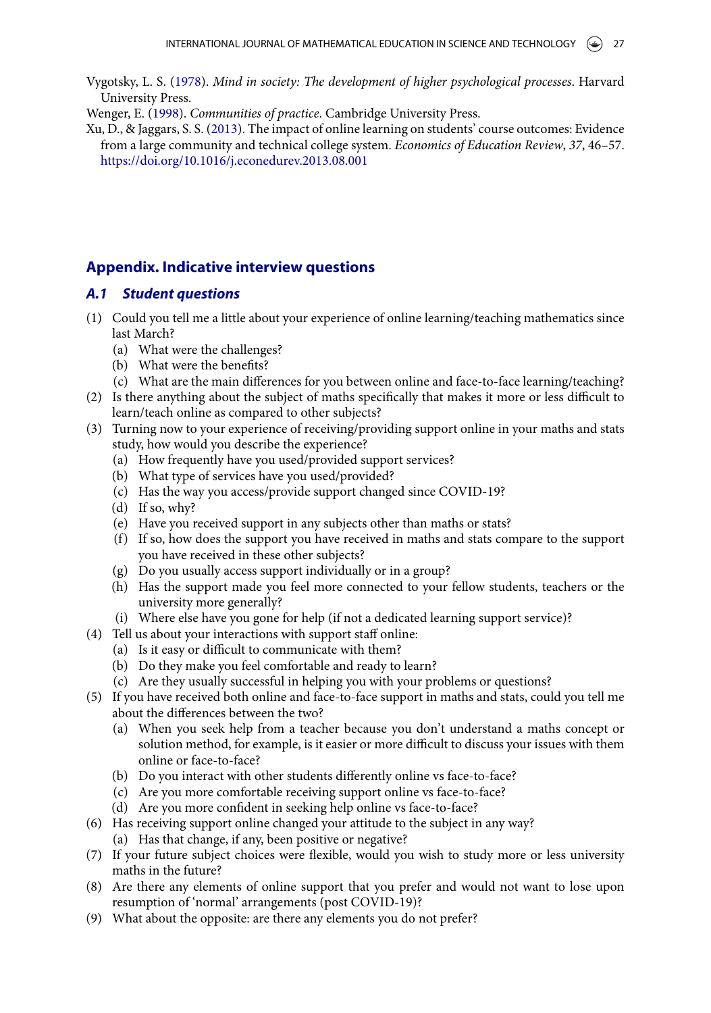- <span id="page-27-0"></span>Vygotsky, L. S. [\(1978\)](#page-3-14). *Mind in society: The development of higher psychological processes*. Harvard University Press.
- <span id="page-27-2"></span>Wenger, E. [\(1998\)](#page-6-6). *Communities of practice*. Cambridge University Press.
- <span id="page-27-1"></span>Xu, D., & Jaggars, S. S. [\(2013\)](#page-4-21). The impact of online learning on students' course outcomes: Evidence from a large community and technical college system. *Economics of Education Review*, *37*, 46–57. <https://doi.org/10.1016/j.econedurev.2013.08.001>

# **Appendix. Indicative interview questions**

# *A.1 Student questions*

- (1) Could you tell me a little about your experience of online learning/teaching mathematics since last March?
	- (a) What were the challenges?
	- (b) What were the benefits?
	- (c) What are the main differences for you between online and face-to-face learning/teaching?
- (2) Is there anything about the subject of maths specifically that makes it more or less difficult to learn/teach online as compared to other subjects?
- (3) Turning now to your experience of receiving/providing support online in your maths and stats study, how would you describe the experience?
	- (a) How frequently have you used/provided support services?
	- (b) What type of services have you used/provided?
	- (c) Has the way you access/provide support changed since COVID-19?
	- (d) If so, why?
	- (e) Have you received support in any subjects other than maths or stats?
	- (f) If so, how does the support you have received in maths and stats compare to the support you have received in these other subjects?
	- (g) Do you usually access support individually or in a group?
	- (h) Has the support made you feel more connected to your fellow students, teachers or the university more generally?
	- (i) Where else have you gone for help (if not a dedicated learning support service)?
- (4) Tell us about your interactions with support staff online:
	- (a) Is it easy or difficult to communicate with them?
	- (b) Do they make you feel comfortable and ready to learn?
	- (c) Are they usually successful in helping you with your problems or questions?
- (5) If you have received both online and face-to-face support in maths and stats, could you tell me about the differences between the two?
	- (a) When you seek help from a teacher because you don't understand a maths concept or solution method, for example, is it easier or more difficult to discuss your issues with them online or face-to-face?
	- (b) Do you interact with other students differently online vs face-to-face?
	- (c) Are you more comfortable receiving support online vs face-to-face?
	- (d) Are you more confident in seeking help online vs face-to-face?
- (6) Has receiving support online changed your attitude to the subject in any way? (a) Has that change, if any, been positive or negative?
- (7) If your future subject choices were flexible, would you wish to study more or less university maths in the future?
- (8) Are there any elements of online support that you prefer and would not want to lose upon resumption of 'normal' arrangements (post COVID-19)?
- (9) What about the opposite: are there any elements you do not prefer?